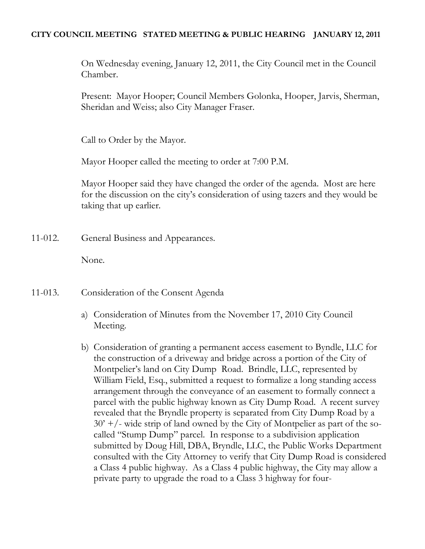### **CITY COUNCIL MEETING STATED MEETING & PUBLIC HEARING JANUARY 12, 2011**

On Wednesday evening, January 12, 2011, the City Council met in the Council Chamber.

Present: Mayor Hooper; Council Members Golonka, Hooper, Jarvis, Sherman, Sheridan and Weiss; also City Manager Fraser.

Call to Order by the Mayor.

Mayor Hooper called the meeting to order at 7:00 P.M.

Mayor Hooper said they have changed the order of the agenda. Most are here for the discussion on the city's consideration of using tazers and they would be taking that up earlier.

11-012. General Business and Appearances.

None.

- 11-013. Consideration of the Consent Agenda
	- a) Consideration of Minutes from the November 17, 2010 City Council Meeting.
	- b) Consideration of granting a permanent access easement to Byndle, LLC for the construction of a driveway and bridge across a portion of the City of Montpelier's land on City Dump Road. Brindle, LLC, represented by William Field, Esq., submitted a request to formalize a long standing access arrangement through the conveyance of an easement to formally connect a parcel with the public highway known as City Dump Road. A recent survey revealed that the Bryndle property is separated from City Dump Road by a  $30'$  +/- wide strip of land owned by the City of Montpelier as part of the socalled "Stump Dump" parcel. In response to a subdivision application submitted by Doug Hill, DBA, Bryndle, LLC, the Public Works Department consulted with the City Attorney to verify that City Dump Road is considered a Class 4 public highway. As a Class 4 public highway, the City may allow a private party to upgrade the road to a Class 3 highway for four-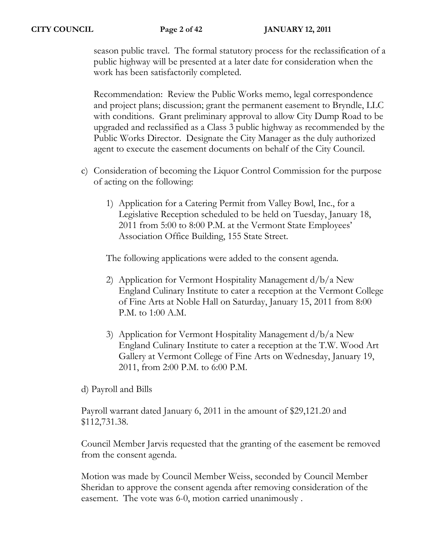season public travel. The formal statutory process for the reclassification of a public highway will be presented at a later date for consideration when the work has been satisfactorily completed.

Recommendation: Review the Public Works memo, legal correspondence and project plans; discussion; grant the permanent easement to Bryndle, LLC with conditions. Grant preliminary approval to allow City Dump Road to be upgraded and reclassified as a Class 3 public highway as recommended by the Public Works Director. Designate the City Manager as the duly authorized agent to execute the easement documents on behalf of the City Council.

- c) Consideration of becoming the Liquor Control Commission for the purpose of acting on the following:
	- 1) Application for a Catering Permit from Valley Bowl, Inc., for a Legislative Reception scheduled to be held on Tuesday, January 18, 2011 from 5:00 to 8:00 P.M. at the Vermont State Employees' Association Office Building, 155 State Street.

The following applications were added to the consent agenda.

- 2) Application for Vermont Hospitality Management d/b/a New England Culinary Institute to cater a reception at the Vermont College of Fine Arts at Noble Hall on Saturday, January 15, 2011 from 8:00 P.M. to 1:00 A.M.
- 3) Application for Vermont Hospitality Management d/b/a New England Culinary Institute to cater a reception at the T.W. Wood Art Gallery at Vermont College of Fine Arts on Wednesday, January 19, 2011, from 2:00 P.M. to 6:00 P.M.

d) Payroll and Bills

Payroll warrant dated January 6, 2011 in the amount of \$29,121.20 and \$112,731.38.

Council Member Jarvis requested that the granting of the easement be removed from the consent agenda.

Motion was made by Council Member Weiss, seconded by Council Member Sheridan to approve the consent agenda after removing consideration of the easement. The vote was 6-0, motion carried unanimously .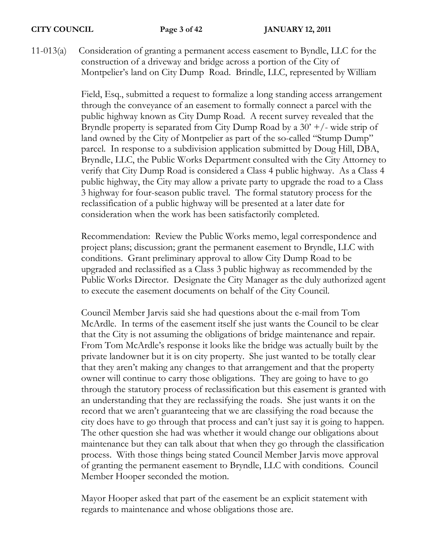11-013(a) Consideration of granting a permanent access easement to Byndle, LLC for the construction of a driveway and bridge across a portion of the City of Montpelier's land on City Dump Road. Brindle, LLC, represented by William

> Field, Esq., submitted a request to formalize a long standing access arrangement through the conveyance of an easement to formally connect a parcel with the public highway known as City Dump Road. A recent survey revealed that the Bryndle property is separated from City Dump Road by a  $30' +$ /- wide strip of land owned by the City of Montpelier as part of the so-called "Stump Dump" parcel. In response to a subdivision application submitted by Doug Hill, DBA, Bryndle, LLC, the Public Works Department consulted with the City Attorney to verify that City Dump Road is considered a Class 4 public highway. As a Class 4 public highway, the City may allow a private party to upgrade the road to a Class 3 highway for four-season public travel. The formal statutory process for the reclassification of a public highway will be presented at a later date for consideration when the work has been satisfactorily completed.

> Recommendation: Review the Public Works memo, legal correspondence and project plans; discussion; grant the permanent easement to Bryndle, LLC with conditions. Grant preliminary approval to allow City Dump Road to be upgraded and reclassified as a Class 3 public highway as recommended by the Public Works Director. Designate the City Manager as the duly authorized agent to execute the easement documents on behalf of the City Council.

> Council Member Jarvis said she had questions about the e-mail from Tom McArdle. In terms of the easement itself she just wants the Council to be clear that the City is not assuming the obligations of bridge maintenance and repair. From Tom McArdle's response it looks like the bridge was actually built by the private landowner but it is on city property. She just wanted to be totally clear that they aren't making any changes to that arrangement and that the property owner will continue to carry those obligations. They are going to have to go through the statutory process of reclassification but this easement is granted with an understanding that they are reclassifying the roads. She just wants it on the record that we aren't guaranteeing that we are classifying the road because the city does have to go through that process and can't just say it is going to happen. The other question she had was whether it would change our obligations about maintenance but they can talk about that when they go through the classification process. With those things being stated Council Member Jarvis move approval of granting the permanent easement to Bryndle, LLC with conditions. Council Member Hooper seconded the motion.

Mayor Hooper asked that part of the easement be an explicit statement with regards to maintenance and whose obligations those are.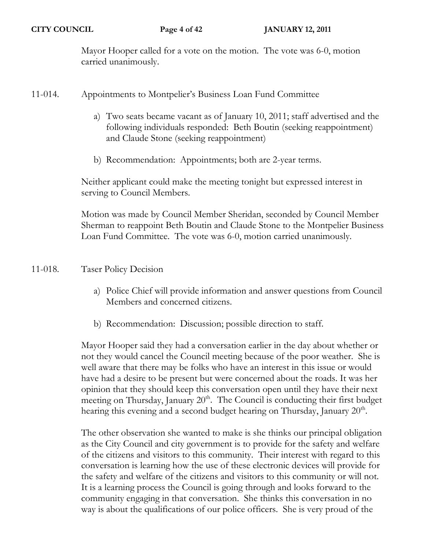Mayor Hooper called for a vote on the motion. The vote was 6-0, motion carried unanimously.

- 11-014. Appointments to Montpelier's Business Loan Fund Committee
	- a) Two seats became vacant as of January 10, 2011; staff advertised and the following individuals responded: Beth Boutin (seeking reappointment) and Claude Stone (seeking reappointment)
	- b) Recommendation: Appointments; both are 2-year terms.

Neither applicant could make the meeting tonight but expressed interest in serving to Council Members.

Motion was made by Council Member Sheridan, seconded by Council Member Sherman to reappoint Beth Boutin and Claude Stone to the Montpelier Business Loan Fund Committee. The vote was 6-0, motion carried unanimously.

11-018. Taser Policy Decision

- a) Police Chief will provide information and answer questions from Council Members and concerned citizens.
- b) Recommendation: Discussion; possible direction to staff.

Mayor Hooper said they had a conversation earlier in the day about whether or not they would cancel the Council meeting because of the poor weather. She is well aware that there may be folks who have an interest in this issue or would have had a desire to be present but were concerned about the roads. It was her opinion that they should keep this conversation open until they have their next meeting on Thursday, January  $20<sup>th</sup>$ . The Council is conducting their first budget hearing this evening and a second budget hearing on Thursday, January  $20<sup>th</sup>$ .

The other observation she wanted to make is she thinks our principal obligation as the City Council and city government is to provide for the safety and welfare of the citizens and visitors to this community. Their interest with regard to this conversation is learning how the use of these electronic devices will provide for the safety and welfare of the citizens and visitors to this community or will not. It is a learning process the Council is going through and looks forward to the community engaging in that conversation. She thinks this conversation in no way is about the qualifications of our police officers. She is very proud of the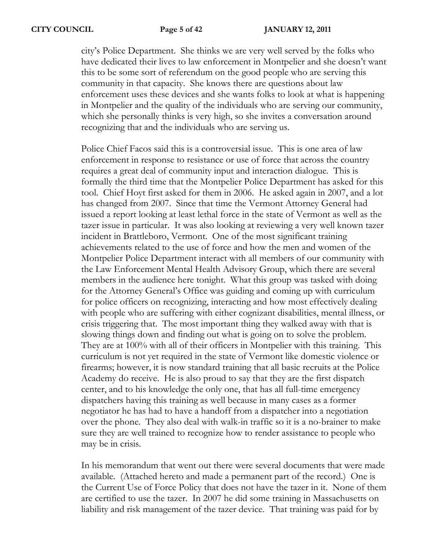city's Police Department. She thinks we are very well served by the folks who have dedicated their lives to law enforcement in Montpelier and she doesn't want this to be some sort of referendum on the good people who are serving this community in that capacity. She knows there are questions about law enforcement uses these devices and she wants folks to look at what is happening in Montpelier and the quality of the individuals who are serving our community, which she personally thinks is very high, so she invites a conversation around recognizing that and the individuals who are serving us.

Police Chief Facos said this is a controversial issue. This is one area of law enforcement in response to resistance or use of force that across the country requires a great deal of community input and interaction dialogue. This is formally the third time that the Montpelier Police Department has asked for this tool. Chief Hoyt first asked for them in 2006. He asked again in 2007, and a lot has changed from 2007. Since that time the Vermont Attorney General had issued a report looking at least lethal force in the state of Vermont as well as the tazer issue in particular. It was also looking at reviewing a very well known tazer incident in Brattleboro, Vermont. One of the most significant training achievements related to the use of force and how the men and women of the Montpelier Police Department interact with all members of our community with the Law Enforcement Mental Health Advisory Group, which there are several members in the audience here tonight. What this group was tasked with doing for the Attorney General's Office was guiding and coming up with curriculum for police officers on recognizing, interacting and how most effectively dealing with people who are suffering with either cognizant disabilities, mental illness, or crisis triggering that. The most important thing they walked away with that is slowing things down and finding out what is going on to solve the problem. They are at 100% with all of their officers in Montpelier with this training. This curriculum is not yet required in the state of Vermont like domestic violence or firearms; however, it is now standard training that all basic recruits at the Police Academy do receive. He is also proud to say that they are the first dispatch center, and to his knowledge the only one, that has all full-time emergency dispatchers having this training as well because in many cases as a former negotiator he has had to have a handoff from a dispatcher into a negotiation over the phone. They also deal with walk-in traffic so it is a no-brainer to make sure they are well trained to recognize how to render assistance to people who may be in crisis.

In his memorandum that went out there were several documents that were made available. (Attached hereto and made a permanent part of the record.) One is the Current Use of Force Policy that does not have the tazer in it. None of them are certified to use the tazer. In 2007 he did some training in Massachusetts on liability and risk management of the tazer device. That training was paid for by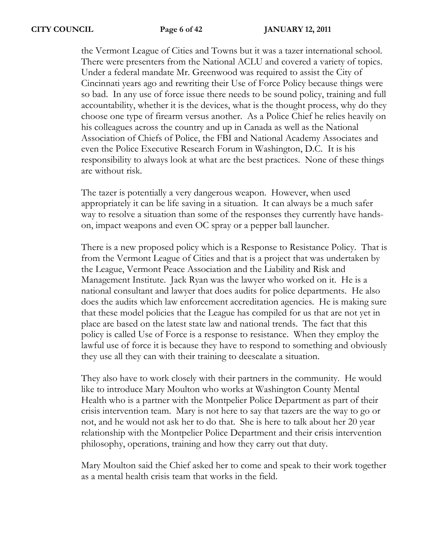the Vermont League of Cities and Towns but it was a tazer international school. There were presenters from the National ACLU and covered a variety of topics. Under a federal mandate Mr. Greenwood was required to assist the City of Cincinnati years ago and rewriting their Use of Force Policy because things were so bad. In any use of force issue there needs to be sound policy, training and full accountability, whether it is the devices, what is the thought process, why do they choose one type of firearm versus another. As a Police Chief he relies heavily on his colleagues across the country and up in Canada as well as the National Association of Chiefs of Police, the FBI and National Academy Associates and even the Police Executive Research Forum in Washington, D.C. It is his responsibility to always look at what are the best practices. None of these things are without risk.

The tazer is potentially a very dangerous weapon. However, when used appropriately it can be life saving in a situation. It can always be a much safer way to resolve a situation than some of the responses they currently have handson, impact weapons and even OC spray or a pepper ball launcher.

There is a new proposed policy which is a Response to Resistance Policy. That is from the Vermont League of Cities and that is a project that was undertaken by the League, Vermont Peace Association and the Liability and Risk and Management Institute. Jack Ryan was the lawyer who worked on it. He is a national consultant and lawyer that does audits for police departments. He also does the audits which law enforcement accreditation agencies. He is making sure that these model policies that the League has compiled for us that are not yet in place are based on the latest state law and national trends. The fact that this policy is called Use of Force is a response to resistance. When they employ the lawful use of force it is because they have to respond to something and obviously they use all they can with their training to deescalate a situation.

They also have to work closely with their partners in the community. He would like to introduce Mary Moulton who works at Washington County Mental Health who is a partner with the Montpelier Police Department as part of their crisis intervention team. Mary is not here to say that tazers are the way to go or not, and he would not ask her to do that. She is here to talk about her 20 year relationship with the Montpelier Police Department and their crisis intervention philosophy, operations, training and how they carry out that duty.

Mary Moulton said the Chief asked her to come and speak to their work together as a mental health crisis team that works in the field.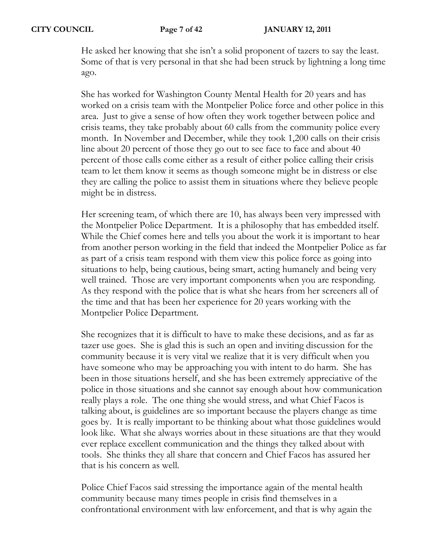He asked her knowing that she isn't a solid proponent of tazers to say the least. Some of that is very personal in that she had been struck by lightning a long time ago.

She has worked for Washington County Mental Health for 20 years and has worked on a crisis team with the Montpelier Police force and other police in this area. Just to give a sense of how often they work together between police and crisis teams, they take probably about 60 calls from the community police every month. In November and December, while they took 1,200 calls on their crisis line about 20 percent of those they go out to see face to face and about 40 percent of those calls come either as a result of either police calling their crisis team to let them know it seems as though someone might be in distress or else they are calling the police to assist them in situations where they believe people might be in distress.

Her screening team, of which there are 10, has always been very impressed with the Montpelier Police Department. It is a philosophy that has embedded itself. While the Chief comes here and tells you about the work it is important to hear from another person working in the field that indeed the Montpelier Police as far as part of a crisis team respond with them view this police force as going into situations to help, being cautious, being smart, acting humanely and being very well trained. Those are very important components when you are responding. As they respond with the police that is what she hears from her screeners all of the time and that has been her experience for 20 years working with the Montpelier Police Department.

She recognizes that it is difficult to have to make these decisions, and as far as tazer use goes. She is glad this is such an open and inviting discussion for the community because it is very vital we realize that it is very difficult when you have someone who may be approaching you with intent to do harm. She has been in those situations herself, and she has been extremely appreciative of the police in those situations and she cannot say enough about how communication really plays a role. The one thing she would stress, and what Chief Facos is talking about, is guidelines are so important because the players change as time goes by. It is really important to be thinking about what those guidelines would look like. What she always worries about in these situations are that they would ever replace excellent communication and the things they talked about with tools. She thinks they all share that concern and Chief Facos has assured her that is his concern as well.

Police Chief Facos said stressing the importance again of the mental health community because many times people in crisis find themselves in a confrontational environment with law enforcement, and that is why again the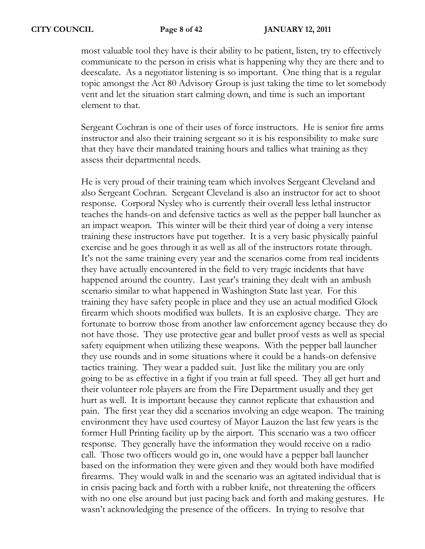most valuable tool they have is their ability to be patient, listen, try to effectively communicate to the person in crisis what is happening why they are there and to deescalate. As a negotiator listening is so important. One thing that is a regular topic amongst the Act 80 Advisory Group is just taking the time to let somebody vent and let the situation start calming down, and time is such an important element to that.

Sergeant Cochran is one of their uses of force instructors. He is senior fire arms instructor and also their training sergeant so it is his responsibility to make sure that they have their mandated training hours and tallies what training as they assess their departmental needs.

He is very proud of their training team which involves Sergeant Cleveland and also Sergeant Cochran. Sergeant Cleveland is also an instructor for act to shoot response. Corporal Nysley who is currently their overall less lethal instructor teaches the hands-on and defensive tactics as well as the pepper ball launcher as an impact weapon. This winter will be their third year of doing a very intense training these instructors have put together. It is a very basic physically painful exercise and he goes through it as well as all of the instructors rotate through. It's not the same training every year and the scenarios come from real incidents they have actually encountered in the field to very tragic incidents that have happened around the country. Last year's training they dealt with an ambush scenario similar to what happened in Washington State last year. For this training they have safety people in place and they use an actual modified Glock firearm which shoots modified wax bullets. It is an explosive charge. They are fortunate to borrow those from another law enforcement agency because they do not have those. They use protective gear and bullet proof vests as well as special safety equipment when utilizing these weapons. With the pepper ball launcher they use rounds and in some situations where it could be a hands-on defensive tactics training. They wear a padded suit. Just like the military you are only going to be as effective in a fight if you train at full speed. They all get hurt and their volunteer role players are from the Fire Department usually and they get hurt as well. It is important because they cannot replicate that exhaustion and pain. The first year they did a scenarios involving an edge weapon. The training environment they have used courtesy of Mayor Lauzon the last few years is the former Hull Printing facility up by the airport. This scenario was a two officer response. They generally have the information they would receive on a radio call. Those two officers would go in, one would have a pepper ball launcher based on the information they were given and they would both have modified firearms. They would walk in and the scenario was an agitated individual that is in crisis pacing back and forth with a rubber knife, not threatening the officers with no one else around but just pacing back and forth and making gestures. He wasn't acknowledging the presence of the officers. In trying to resolve that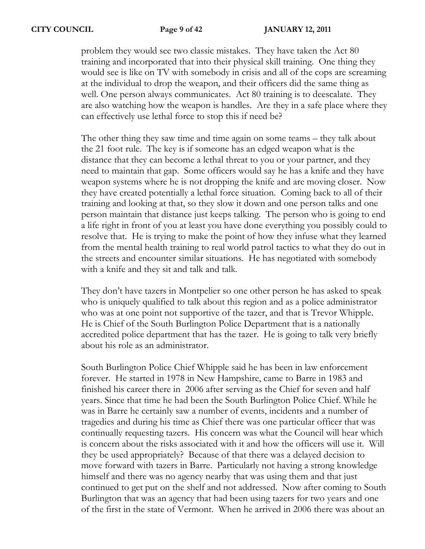problem they would see two classic mistakes. They have taken the Act 80 training and incorporated that into their physical skill training. One thing they would see is like on TV with somebody in crisis and all of the cops are screaming at the individual to drop the weapon, and their officers did the same thing as well. One person always communicates. Act 80 training is to deescalate. They are also watching how the weapon is handles. Are they in a safe place where they can effectively use lethal force to stop this if need be?

The other thing they saw time and time again on some teams – they talk about the 21 foot rule. The key is if someone has an edged weapon what is the distance that they can become a lethal threat to you or your partner, and they need to maintain that gap. Some officers would say he has a knife and they have weapon systems where he is not dropping the knife and are moving closer. Now they have created potentially a lethal force situation. Coming back to all of their training and looking at that, so they slow it down and one person talks and one person maintain that distance just keeps talking. The person who is going to end a life right in front of you at least you have done everything you possibly could to resolve that. He is trying to make the point of how they infuse what they learned from the mental health training to real world patrol tactics to what they do out in the streets and encounter similar situations. He has negotiated with somebody with a knife and they sit and talk and talk.

They don't have tazers in Montpelier so one other person he has asked to speak who is uniquely qualified to talk about this region and as a police administrator who was at one point not supportive of the tazer, and that is Trevor Whipple. He is Chief of the South Burlington Police Department that is a nationally accredited police department that has the tazer. He is going to talk very briefly about his role as an administrator.

South Burlington Police Chief Whipple said he has been in law enforcement forever. He started in 1978 in New Hampshire, came to Barre in 1983 and finished his career there in 2006 after serving as the Chief for seven and half years. Since that time he had been the South Burlington Police Chief. While he was in Barre he certainly saw a number of events, incidents and a number of tragedies and during his time as Chief there was one particular officer that was continually requesting tazers. His concern was what the Council will hear which is concern about the risks associated with it and how the officers will use it. Will they be used appropriately? Because of that there was a delayed decision to move forward with tazers in Barre. Particularly not having a strong knowledge himself and there was no agency nearby that was using them and that just continued to get put on the shelf and not addressed. Now after coming to South Burlington that was an agency that had been using tazers for two years and one of the first in the state of Vermont. When he arrived in 2006 there was about an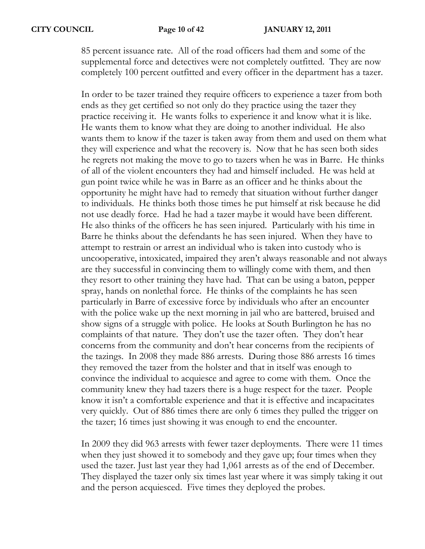85 percent issuance rate. All of the road officers had them and some of the supplemental force and detectives were not completely outfitted. They are now completely 100 percent outfitted and every officer in the department has a tazer.

In order to be tazer trained they require officers to experience a tazer from both ends as they get certified so not only do they practice using the tazer they practice receiving it. He wants folks to experience it and know what it is like. He wants them to know what they are doing to another individual. He also wants them to know if the tazer is taken away from them and used on them what they will experience and what the recovery is. Now that he has seen both sides he regrets not making the move to go to tazers when he was in Barre. He thinks of all of the violent encounters they had and himself included. He was held at gun point twice while he was in Barre as an officer and he thinks about the opportunity he might have had to remedy that situation without further danger to individuals. He thinks both those times he put himself at risk because he did not use deadly force. Had he had a tazer maybe it would have been different. He also thinks of the officers he has seen injured. Particularly with his time in Barre he thinks about the defendants he has seen injured. When they have to attempt to restrain or arrest an individual who is taken into custody who is uncooperative, intoxicated, impaired they aren't always reasonable and not always are they successful in convincing them to willingly come with them, and then they resort to other training they have had. That can be using a baton, pepper spray, hands on nonlethal force. He thinks of the complaints he has seen particularly in Barre of excessive force by individuals who after an encounter with the police wake up the next morning in jail who are battered, bruised and show signs of a struggle with police. He looks at South Burlington he has no complaints of that nature. They don't use the tazer often. They don't hear concerns from the community and don't hear concerns from the recipients of the tazings. In 2008 they made 886 arrests. During those 886 arrests 16 times they removed the tazer from the holster and that in itself was enough to convince the individual to acquiesce and agree to come with them. Once the community knew they had tazers there is a huge respect for the tazer. People know it isn't a comfortable experience and that it is effective and incapacitates very quickly. Out of 886 times there are only 6 times they pulled the trigger on the tazer; 16 times just showing it was enough to end the encounter.

In 2009 they did 963 arrests with fewer tazer deployments. There were 11 times when they just showed it to somebody and they gave up; four times when they used the tazer. Just last year they had 1,061 arrests as of the end of December. They displayed the tazer only six times last year where it was simply taking it out and the person acquiesced. Five times they deployed the probes.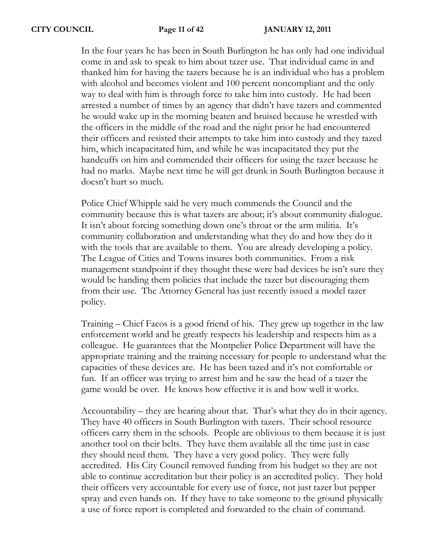In the four years he has been in South Burlington he has only had one individual come in and ask to speak to him about tazer use. That individual came in and thanked him for having the tazers because he is an individual who has a problem with alcohol and becomes violent and 100 percent noncompliant and the only way to deal with him is through force to take him into custody. He had been arrested a number of times by an agency that didn't have tazers and commented he would wake up in the morning beaten and bruised because he wrestled with the officers in the middle of the road and the night prior he had encountered their officers and resisted their attempts to take him into custody and they tazed him, which incapacitated him, and while he was incapacitated they put the handcuffs on him and commended their officers for using the tazer because he had no marks. Maybe next time he will get drunk in South Burlington because it doesn't hurt so much.

Police Chief Whipple said he very much commends the Council and the community because this is what tazers are about; it's about community dialogue. It isn't about forcing something down one's throat or the arm militia. It's community collaboration and understanding what they do and how they do it with the tools that are available to them. You are already developing a policy. The League of Cities and Towns insures both communities. From a risk management standpoint if they thought these were bad devices he isn't sure they would be handing them policies that include the tazer but discouraging them from their use. The Attorney General has just recently issued a model tazer policy.

Training – Chief Facos is a good friend of his. They grew up together in the law enforcement world and he greatly respects his leadership and respects him as a colleague. He guarantees that the Montpelier Police Department will have the appropriate training and the training necessary for people to understand what the capacities of these devices are. He has been tazed and it's not comfortable or fun. If an officer was trying to arrest him and he saw the head of a tazer the game would be over. He knows how effective it is and how well it works.

Accountability – they are hearing about that. That's what they do in their agency. They have 40 officers in South Burlington with tazers. Their school resource officers carry them in the schools. People are oblivious to them because it is just another tool on their belts. They have them available all the time just in case they should need them. They have a very good policy. They were fully accredited. His City Council removed funding from his budget so they are not able to continue accreditation but their policy is an accredited policy. They hold their officers very accountable for every use of force, not just tazer but pepper spray and even hands on. If they have to take someone to the ground physically a use of force report is completed and forwarded to the chain of command.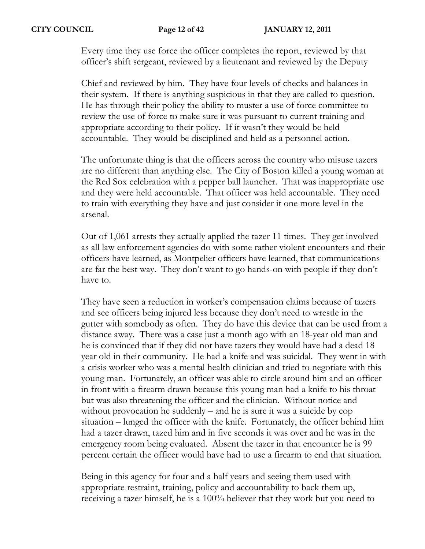Every time they use force the officer completes the report, reviewed by that officer's shift sergeant, reviewed by a lieutenant and reviewed by the Deputy

Chief and reviewed by him. They have four levels of checks and balances in their system. If there is anything suspicious in that they are called to question. He has through their policy the ability to muster a use of force committee to review the use of force to make sure it was pursuant to current training and appropriate according to their policy. If it wasn't they would be held accountable. They would be disciplined and held as a personnel action.

The unfortunate thing is that the officers across the country who misuse tazers are no different than anything else. The City of Boston killed a young woman at the Red Sox celebration with a pepper ball launcher. That was inappropriate use and they were held accountable. That officer was held accountable. They need to train with everything they have and just consider it one more level in the arsenal.

Out of 1,061 arrests they actually applied the tazer 11 times. They get involved as all law enforcement agencies do with some rather violent encounters and their officers have learned, as Montpelier officers have learned, that communications are far the best way. They don't want to go hands-on with people if they don't have to.

They have seen a reduction in worker's compensation claims because of tazers and see officers being injured less because they don't need to wrestle in the gutter with somebody as often. They do have this device that can be used from a distance away. There was a case just a month ago with an 18-year old man and he is convinced that if they did not have tazers they would have had a dead 18 year old in their community. He had a knife and was suicidal. They went in with a crisis worker who was a mental health clinician and tried to negotiate with this young man. Fortunately, an officer was able to circle around him and an officer in front with a firearm drawn because this young man had a knife to his throat but was also threatening the officer and the clinician. Without notice and without provocation he suddenly – and he is sure it was a suicide by cop situation – lunged the officer with the knife. Fortunately, the officer behind him had a tazer drawn, tazed him and in five seconds it was over and he was in the emergency room being evaluated. Absent the tazer in that encounter he is 99 percent certain the officer would have had to use a firearm to end that situation.

Being in this agency for four and a half years and seeing them used with appropriate restraint, training, policy and accountability to back them up, receiving a tazer himself, he is a 100% believer that they work but you need to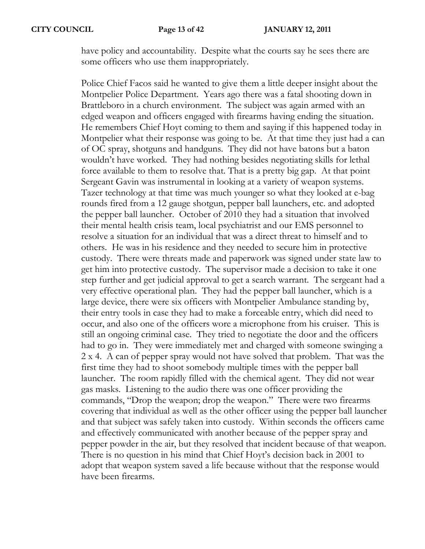have policy and accountability. Despite what the courts say he sees there are some officers who use them inappropriately.

Police Chief Facos said he wanted to give them a little deeper insight about the Montpelier Police Department. Years ago there was a fatal shooting down in Brattleboro in a church environment. The subject was again armed with an edged weapon and officers engaged with firearms having ending the situation. He remembers Chief Hoyt coming to them and saying if this happened today in Montpelier what their response was going to be. At that time they just had a can of OC spray, shotguns and handguns. They did not have batons but a baton wouldn't have worked. They had nothing besides negotiating skills for lethal force available to them to resolve that. That is a pretty big gap. At that point Sergeant Gavin was instrumental in looking at a variety of weapon systems. Tazer technology at that time was much younger so what they looked at e-bag rounds fired from a 12 gauge shotgun, pepper ball launchers, etc. and adopted the pepper ball launcher. October of 2010 they had a situation that involved their mental health crisis team, local psychiatrist and our EMS personnel to resolve a situation for an individual that was a direct threat to himself and to others. He was in his residence and they needed to secure him in protective custody. There were threats made and paperwork was signed under state law to get him into protective custody. The supervisor made a decision to take it one step further and get judicial approval to get a search warrant. The sergeant had a very effective operational plan. They had the pepper ball launcher, which is a large device, there were six officers with Montpelier Ambulance standing by, their entry tools in case they had to make a forceable entry, which did need to occur, and also one of the officers wore a microphone from his cruiser. This is still an ongoing criminal case. They tried to negotiate the door and the officers had to go in. They were immediately met and charged with someone swinging a 2 x 4. A can of pepper spray would not have solved that problem. That was the first time they had to shoot somebody multiple times with the pepper ball launcher. The room rapidly filled with the chemical agent. They did not wear gas masks. Listening to the audio there was one officer providing the commands, "Drop the weapon; drop the weapon." There were two firearms covering that individual as well as the other officer using the pepper ball launcher and that subject was safely taken into custody. Within seconds the officers came and effectively communicated with another because of the pepper spray and pepper powder in the air, but they resolved that incident because of that weapon. There is no question in his mind that Chief Hoyt's decision back in 2001 to adopt that weapon system saved a life because without that the response would have been firearms.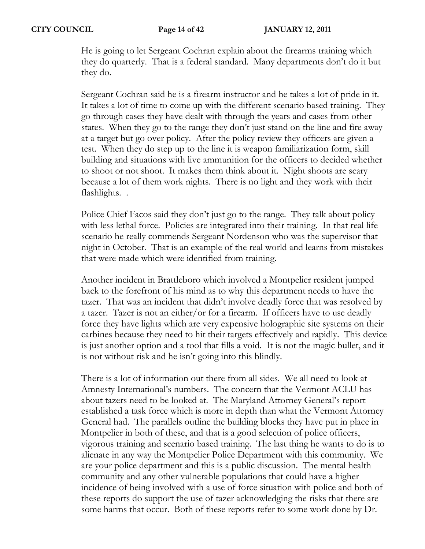He is going to let Sergeant Cochran explain about the firearms training which they do quarterly. That is a federal standard. Many departments don't do it but they do.

Sergeant Cochran said he is a firearm instructor and he takes a lot of pride in it. It takes a lot of time to come up with the different scenario based training. They go through cases they have dealt with through the years and cases from other states. When they go to the range they don't just stand on the line and fire away at a target but go over policy. After the policy review they officers are given a test. When they do step up to the line it is weapon familiarization form, skill building and situations with live ammunition for the officers to decided whether to shoot or not shoot. It makes them think about it. Night shoots are scary because a lot of them work nights. There is no light and they work with their flashlights. .

Police Chief Facos said they don't just go to the range. They talk about policy with less lethal force. Policies are integrated into their training. In that real life scenario he really commends Sergeant Nordenson who was the supervisor that night in October. That is an example of the real world and learns from mistakes that were made which were identified from training.

Another incident in Brattleboro which involved a Montpelier resident jumped back to the forefront of his mind as to why this department needs to have the tazer. That was an incident that didn't involve deadly force that was resolved by a tazer. Tazer is not an either/or for a firearm. If officers have to use deadly force they have lights which are very expensive holographic site systems on their carbines because they need to hit their targets effectively and rapidly. This device is just another option and a tool that fills a void. It is not the magic bullet, and it is not without risk and he isn't going into this blindly.

There is a lot of information out there from all sides. We all need to look at Amnesty International's numbers. The concern that the Vermont ACLU has about tazers need to be looked at. The Maryland Attorney General's report established a task force which is more in depth than what the Vermont Attorney General had. The parallels outline the building blocks they have put in place in Montpelier in both of these, and that is a good selection of police officers, vigorous training and scenario based training. The last thing he wants to do is to alienate in any way the Montpelier Police Department with this community. We are your police department and this is a public discussion. The mental health community and any other vulnerable populations that could have a higher incidence of being involved with a use of force situation with police and both of these reports do support the use of tazer acknowledging the risks that there are some harms that occur. Both of these reports refer to some work done by Dr.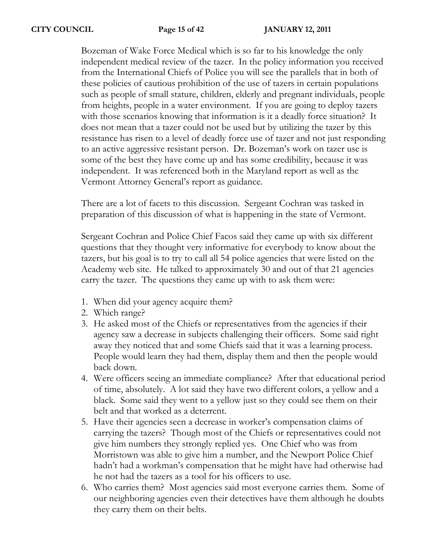Bozeman of Wake Force Medical which is so far to his knowledge the only independent medical review of the tazer. In the policy information you received from the International Chiefs of Police you will see the parallels that in both of these policies of cautious prohibition of the use of tazers in certain populations such as people of small stature, children, elderly and pregnant individuals, people from heights, people in a water environment. If you are going to deploy tazers with those scenarios knowing that information is it a deadly force situation? It does not mean that a tazer could not be used but by utilizing the tazer by this resistance has risen to a level of deadly force use of tazer and not just responding to an active aggressive resistant person. Dr. Bozeman's work on tazer use is some of the best they have come up and has some credibility, because it was independent. It was referenced both in the Maryland report as well as the Vermont Attorney General's report as guidance.

There are a lot of facets to this discussion. Sergeant Cochran was tasked in preparation of this discussion of what is happening in the state of Vermont.

Sergeant Cochran and Police Chief Facos said they came up with six different questions that they thought very informative for everybody to know about the tazers, but his goal is to try to call all 54 police agencies that were listed on the Academy web site. He talked to approximately 30 and out of that 21 agencies carry the tazer. The questions they came up with to ask them were:

- 1. When did your agency acquire them?
- 2. Which range?
- 3. He asked most of the Chiefs or representatives from the agencies if their agency saw a decrease in subjects challenging their officers. Some said right away they noticed that and some Chiefs said that it was a learning process. People would learn they had them, display them and then the people would back down.
- 4. Were officers seeing an immediate compliance? After that educational period of time, absolutely. A lot said they have two different colors, a yellow and a black. Some said they went to a yellow just so they could see them on their belt and that worked as a deterrent.
- 5. Have their agencies seen a decrease in worker's compensation claims of carrying the tazers? Though most of the Chiefs or representatives could not give him numbers they strongly replied yes. One Chief who was from Morristown was able to give him a number, and the Newport Police Chief hadn't had a workman's compensation that he might have had otherwise had he not had the tazers as a tool for his officers to use.
- 6. Who carries them? Most agencies said most everyone carries them. Some of our neighboring agencies even their detectives have them although he doubts they carry them on their belts.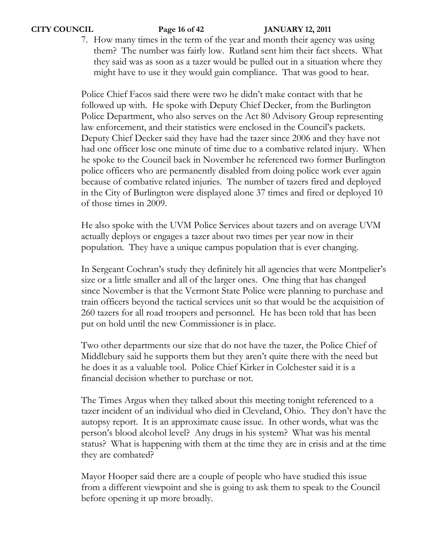### **CITY COUNCIL Page 16 of 42 JANUARY 12, 2011**

7. How many times in the term of the year and month their agency was using them? The number was fairly low. Rutland sent him their fact sheets. What they said was as soon as a tazer would be pulled out in a situation where they might have to use it they would gain compliance. That was good to hear.

Police Chief Facos said there were two he didn't make contact with that he followed up with. He spoke with Deputy Chief Decker, from the Burlington Police Department, who also serves on the Act 80 Advisory Group representing law enforcement, and their statistics were enclosed in the Council's packets. Deputy Chief Decker said they have had the tazer since 2006 and they have not had one officer lose one minute of time due to a combative related injury. When he spoke to the Council back in November he referenced two former Burlington police officers who are permanently disabled from doing police work ever again because of combative related injuries. The number of tazers fired and deployed in the City of Burlington were displayed alone 37 times and fired or deployed 10 of those times in 2009.

He also spoke with the UVM Police Services about tazers and on average UVM actually deploys or engages a tazer about two times per year now in their population. They have a unique campus population that is ever changing.

In Sergeant Cochran's study they definitely hit all agencies that were Montpelier's size or a little smaller and all of the larger ones. One thing that has changed since November is that the Vermont State Police were planning to purchase and train officers beyond the tactical services unit so that would be the acquisition of 260 tazers for all road troopers and personnel. He has been told that has been put on hold until the new Commissioner is in place.

Two other departments our size that do not have the tazer, the Police Chief of Middlebury said he supports them but they aren't quite there with the need but he does it as a valuable tool. Police Chief Kirker in Colchester said it is a financial decision whether to purchase or not.

The Times Argus when they talked about this meeting tonight referenced to a tazer incident of an individual who died in Cleveland, Ohio. They don't have the autopsy report. It is an approximate cause issue. In other words, what was the person's blood alcohol level? Any drugs in his system? What was his mental status? What is happening with them at the time they are in crisis and at the time they are combated?

Mayor Hooper said there are a couple of people who have studied this issue from a different viewpoint and she is going to ask them to speak to the Council before opening it up more broadly.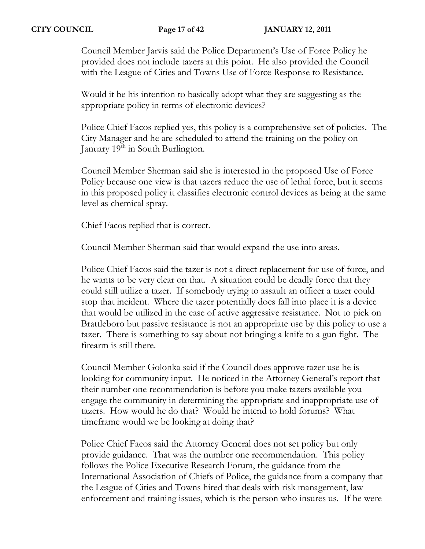Council Member Jarvis said the Police Department's Use of Force Policy he provided does not include tazers at this point. He also provided the Council with the League of Cities and Towns Use of Force Response to Resistance.

Would it be his intention to basically adopt what they are suggesting as the appropriate policy in terms of electronic devices?

Police Chief Facos replied yes, this policy is a comprehensive set of policies. The City Manager and he are scheduled to attend the training on the policy on January 19<sup>th</sup> in South Burlington.

Council Member Sherman said she is interested in the proposed Use of Force Policy because one view is that tazers reduce the use of lethal force, but it seems in this proposed policy it classifies electronic control devices as being at the same level as chemical spray.

Chief Facos replied that is correct.

Council Member Sherman said that would expand the use into areas.

Police Chief Facos said the tazer is not a direct replacement for use of force, and he wants to be very clear on that. A situation could be deadly force that they could still utilize a tazer. If somebody trying to assault an officer a tazer could stop that incident. Where the tazer potentially does fall into place it is a device that would be utilized in the case of active aggressive resistance. Not to pick on Brattleboro but passive resistance is not an appropriate use by this policy to use a tazer. There is something to say about not bringing a knife to a gun fight. The firearm is still there.

Council Member Golonka said if the Council does approve tazer use he is looking for community input. He noticed in the Attorney General's report that their number one recommendation is before you make tazers available you engage the community in determining the appropriate and inappropriate use of tazers. How would he do that? Would he intend to hold forums? What timeframe would we be looking at doing that?

Police Chief Facos said the Attorney General does not set policy but only provide guidance. That was the number one recommendation. This policy follows the Police Executive Research Forum, the guidance from the International Association of Chiefs of Police, the guidance from a company that the League of Cities and Towns hired that deals with risk management, law enforcement and training issues, which is the person who insures us. If he were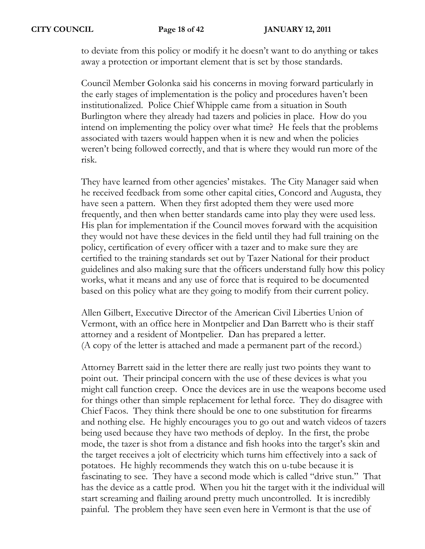to deviate from this policy or modify it he doesn't want to do anything or takes away a protection or important element that is set by those standards.

Council Member Golonka said his concerns in moving forward particularly in the early stages of implementation is the policy and procedures haven't been institutionalized. Police Chief Whipple came from a situation in South Burlington where they already had tazers and policies in place. How do you intend on implementing the policy over what time? He feels that the problems associated with tazers would happen when it is new and when the policies weren't being followed correctly, and that is where they would run more of the risk.

They have learned from other agencies' mistakes. The City Manager said when he received feedback from some other capital cities, Concord and Augusta, they have seen a pattern. When they first adopted them they were used more frequently, and then when better standards came into play they were used less. His plan for implementation if the Council moves forward with the acquisition they would not have these devices in the field until they had full training on the policy, certification of every officer with a tazer and to make sure they are certified to the training standards set out by Tazer National for their product guidelines and also making sure that the officers understand fully how this policy works, what it means and any use of force that is required to be documented based on this policy what are they going to modify from their current policy.

Allen Gilbert, Executive Director of the American Civil Liberties Union of Vermont, with an office here in Montpelier and Dan Barrett who is their staff attorney and a resident of Montpelier. Dan has prepared a letter. (A copy of the letter is attached and made a permanent part of the record.)

Attorney Barrett said in the letter there are really just two points they want to point out. Their principal concern with the use of these devices is what you might call function creep. Once the devices are in use the weapons become used for things other than simple replacement for lethal force. They do disagree with Chief Facos. They think there should be one to one substitution for firearms and nothing else. He highly encourages you to go out and watch videos of tazers being used because they have two methods of deploy. In the first, the probe mode, the tazer is shot from a distance and fish hooks into the target's skin and the target receives a jolt of electricity which turns him effectively into a sack of potatoes. He highly recommends they watch this on u-tube because it is fascinating to see. They have a second mode which is called "drive stun." That has the device as a cattle prod. When you hit the target with it the individual will start screaming and flailing around pretty much uncontrolled. It is incredibly painful. The problem they have seen even here in Vermont is that the use of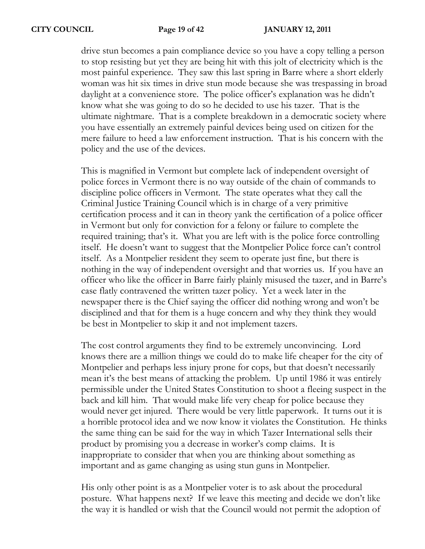drive stun becomes a pain compliance device so you have a copy telling a person to stop resisting but yet they are being hit with this jolt of electricity which is the most painful experience. They saw this last spring in Barre where a short elderly woman was hit six times in drive stun mode because she was trespassing in broad daylight at a convenience store. The police officer's explanation was he didn't know what she was going to do so he decided to use his tazer. That is the ultimate nightmare. That is a complete breakdown in a democratic society where you have essentially an extremely painful devices being used on citizen for the mere failure to heed a law enforcement instruction. That is his concern with the policy and the use of the devices.

This is magnified in Vermont but complete lack of independent oversight of police forces in Vermont there is no way outside of the chain of commands to discipline police officers in Vermont. The state operates what they call the Criminal Justice Training Council which is in charge of a very primitive certification process and it can in theory yank the certification of a police officer in Vermont but only for conviction for a felony or failure to complete the required training; that's it. What you are left with is the police force controlling itself. He doesn't want to suggest that the Montpelier Police force can't control itself. As a Montpelier resident they seem to operate just fine, but there is nothing in the way of independent oversight and that worries us. If you have an officer who like the officer in Barre fairly plainly misused the tazer, and in Barre's case flatly contravened the written tazer policy. Yet a week later in the newspaper there is the Chief saying the officer did nothing wrong and won't be disciplined and that for them is a huge concern and why they think they would be best in Montpelier to skip it and not implement tazers.

The cost control arguments they find to be extremely unconvincing. Lord knows there are a million things we could do to make life cheaper for the city of Montpelier and perhaps less injury prone for cops, but that doesn't necessarily mean it's the best means of attacking the problem. Up until 1986 it was entirely permissible under the United States Constitution to shoot a fleeing suspect in the back and kill him. That would make life very cheap for police because they would never get injured. There would be very little paperwork. It turns out it is a horrible protocol idea and we now know it violates the Constitution. He thinks the same thing can be said for the way in which Tazer International sells their product by promising you a decrease in worker's comp claims. It is inappropriate to consider that when you are thinking about something as important and as game changing as using stun guns in Montpelier.

His only other point is as a Montpelier voter is to ask about the procedural posture. What happens next? If we leave this meeting and decide we don't like the way it is handled or wish that the Council would not permit the adoption of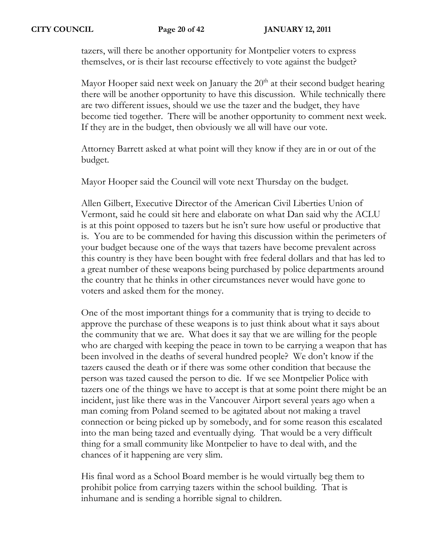tazers, will there be another opportunity for Montpelier voters to express themselves, or is their last recourse effectively to vote against the budget?

Mayor Hooper said next week on January the  $20<sup>th</sup>$  at their second budget hearing there will be another opportunity to have this discussion. While technically there are two different issues, should we use the tazer and the budget, they have become tied together. There will be another opportunity to comment next week. If they are in the budget, then obviously we all will have our vote.

Attorney Barrett asked at what point will they know if they are in or out of the budget.

Mayor Hooper said the Council will vote next Thursday on the budget.

Allen Gilbert, Executive Director of the American Civil Liberties Union of Vermont, said he could sit here and elaborate on what Dan said why the ACLU is at this point opposed to tazers but he isn't sure how useful or productive that is. You are to be commended for having this discussion within the perimeters of your budget because one of the ways that tazers have become prevalent across this country is they have been bought with free federal dollars and that has led to a great number of these weapons being purchased by police departments around the country that he thinks in other circumstances never would have gone to voters and asked them for the money.

One of the most important things for a community that is trying to decide to approve the purchase of these weapons is to just think about what it says about the community that we are. What does it say that we are willing for the people who are charged with keeping the peace in town to be carrying a weapon that has been involved in the deaths of several hundred people? We don't know if the tazers caused the death or if there was some other condition that because the person was tazed caused the person to die. If we see Montpelier Police with tazers one of the things we have to accept is that at some point there might be an incident, just like there was in the Vancouver Airport several years ago when a man coming from Poland seemed to be agitated about not making a travel connection or being picked up by somebody, and for some reason this escalated into the man being tazed and eventually dying. That would be a very difficult thing for a small community like Montpelier to have to deal with, and the chances of it happening are very slim.

His final word as a School Board member is he would virtually beg them to prohibit police from carrying tazers within the school building. That is inhumane and is sending a horrible signal to children.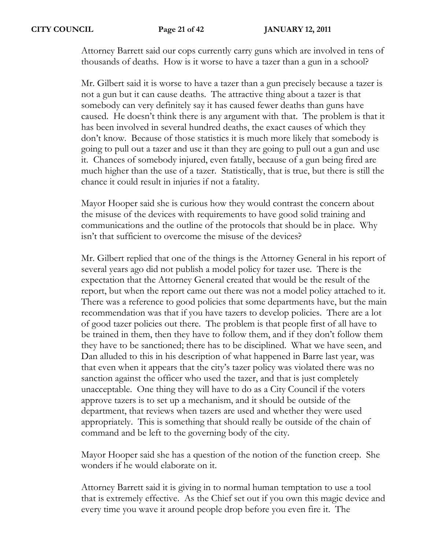Attorney Barrett said our cops currently carry guns which are involved in tens of thousands of deaths. How is it worse to have a tazer than a gun in a school?

Mr. Gilbert said it is worse to have a tazer than a gun precisely because a tazer is not a gun but it can cause deaths. The attractive thing about a tazer is that somebody can very definitely say it has caused fewer deaths than guns have caused. He doesn't think there is any argument with that. The problem is that it has been involved in several hundred deaths, the exact causes of which they don't know. Because of those statistics it is much more likely that somebody is going to pull out a tazer and use it than they are going to pull out a gun and use it. Chances of somebody injured, even fatally, because of a gun being fired are much higher than the use of a tazer. Statistically, that is true, but there is still the chance it could result in injuries if not a fatality.

Mayor Hooper said she is curious how they would contrast the concern about the misuse of the devices with requirements to have good solid training and communications and the outline of the protocols that should be in place. Why isn't that sufficient to overcome the misuse of the devices?

Mr. Gilbert replied that one of the things is the Attorney General in his report of several years ago did not publish a model policy for tazer use. There is the expectation that the Attorney General created that would be the result of the report, but when the report came out there was not a model policy attached to it. There was a reference to good policies that some departments have, but the main recommendation was that if you have tazers to develop policies. There are a lot of good tazer policies out there. The problem is that people first of all have to be trained in them, then they have to follow them, and if they don't follow them they have to be sanctioned; there has to be disciplined. What we have seen, and Dan alluded to this in his description of what happened in Barre last year, was that even when it appears that the city's tazer policy was violated there was no sanction against the officer who used the tazer, and that is just completely unacceptable. One thing they will have to do as a City Council if the voters approve tazers is to set up a mechanism, and it should be outside of the department, that reviews when tazers are used and whether they were used appropriately. This is something that should really be outside of the chain of command and be left to the governing body of the city.

Mayor Hooper said she has a question of the notion of the function creep. She wonders if he would elaborate on it.

Attorney Barrett said it is giving in to normal human temptation to use a tool that is extremely effective. As the Chief set out if you own this magic device and every time you wave it around people drop before you even fire it. The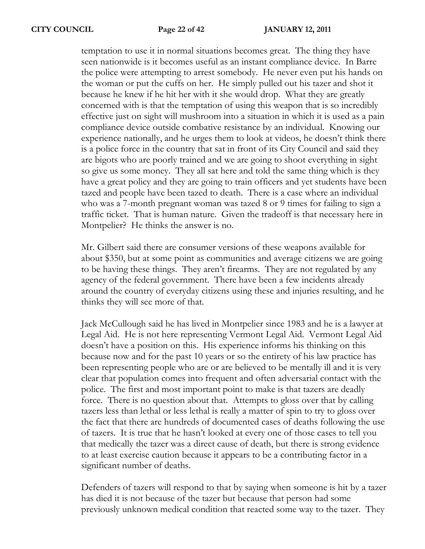temptation to use it in normal situations becomes great. The thing they have seen nationwide is it becomes useful as an instant compliance device. In Barre the police were attempting to arrest somebody. He never even put his hands on the woman or put the cuffs on her. He simply pulled out his tazer and shot it because he knew if he hit her with it she would drop. What they are greatly concerned with is that the temptation of using this weapon that is so incredibly effective just on sight will mushroom into a situation in which it is used as a pain compliance device outside combative resistance by an individual. Knowing our experience nationally, and he urges them to look at videos, he doesn't think there is a police force in the country that sat in front of its City Council and said they are bigots who are poorly trained and we are going to shoot everything in sight so give us some money. They all sat here and told the same thing which is they have a great policy and they are going to train officers and yet students have been tazed and people have been tazed to death. There is a case where an individual who was a 7-month pregnant woman was tazed 8 or 9 times for failing to sign a traffic ticket. That is human nature. Given the tradeoff is that necessary here in Montpelier? He thinks the answer is no.

Mr. Gilbert said there are consumer versions of these weapons available for about \$350, but at some point as communities and average citizens we are going to be having these things. They aren't firearms. They are not regulated by any agency of the federal government. There have been a few incidents already around the country of everyday citizens using these and injuries resulting, and he thinks they will see more of that.

Jack McCullough said he has lived in Montpelier since 1983 and he is a lawyer at Legal Aid. He is not here representing Vermont Legal Aid. Vermont Legal Aid doesn't have a position on this. His experience informs his thinking on this because now and for the past 10 years or so the entirety of his law practice has been representing people who are or are believed to be mentally ill and it is very clear that population comes into frequent and often adversarial contact with the police. The first and most important point to make is that tazers are deadly force. There is no question about that. Attempts to gloss over that by calling tazers less than lethal or less lethal is really a matter of spin to try to gloss over the fact that there are hundreds of documented cases of deaths following the use of tazers. It is true that he hasn't looked at every one of those cases to tell you that medically the tazer was a direct cause of death, but there is strong evidence to at least exercise caution because it appears to be a contributing factor in a significant number of deaths.

Defenders of tazers will respond to that by saying when someone is hit by a tazer has died it is not because of the tazer but because that person had some previously unknown medical condition that reacted some way to the tazer. They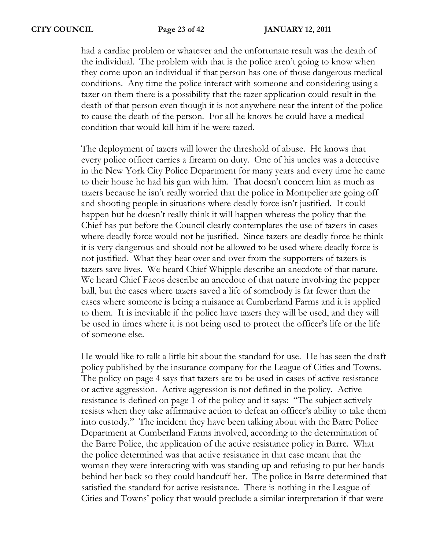had a cardiac problem or whatever and the unfortunate result was the death of the individual. The problem with that is the police aren't going to know when they come upon an individual if that person has one of those dangerous medical conditions. Any time the police interact with someone and considering using a tazer on them there is a possibility that the tazer application could result in the death of that person even though it is not anywhere near the intent of the police to cause the death of the person. For all he knows he could have a medical condition that would kill him if he were tazed.

The deployment of tazers will lower the threshold of abuse. He knows that every police officer carries a firearm on duty. One of his uncles was a detective in the New York City Police Department for many years and every time he came to their house he had his gun with him. That doesn't concern him as much as tazers because he isn't really worried that the police in Montpelier are going off and shooting people in situations where deadly force isn't justified. It could happen but he doesn't really think it will happen whereas the policy that the Chief has put before the Council clearly contemplates the use of tazers in cases where deadly force would not be justified. Since tazers are deadly force he think it is very dangerous and should not be allowed to be used where deadly force is not justified. What they hear over and over from the supporters of tazers is tazers save lives. We heard Chief Whipple describe an anecdote of that nature. We heard Chief Facos describe an anecdote of that nature involving the pepper ball, but the cases where tazers saved a life of somebody is far fewer than the cases where someone is being a nuisance at Cumberland Farms and it is applied to them. It is inevitable if the police have tazers they will be used, and they will be used in times where it is not being used to protect the officer's life or the life of someone else.

He would like to talk a little bit about the standard for use. He has seen the draft policy published by the insurance company for the League of Cities and Towns. The policy on page 4 says that tazers are to be used in cases of active resistance or active aggression. Active aggression is not defined in the policy. Active resistance is defined on page 1 of the policy and it says: "The subject actively resists when they take affirmative action to defeat an officer's ability to take them into custody." The incident they have been talking about with the Barre Police Department at Cumberland Farms involved, according to the determination of the Barre Police, the application of the active resistance policy in Barre. What the police determined was that active resistance in that case meant that the woman they were interacting with was standing up and refusing to put her hands behind her back so they could handcuff her. The police in Barre determined that satisfied the standard for active resistance. There is nothing in the League of Cities and Towns' policy that would preclude a similar interpretation if that were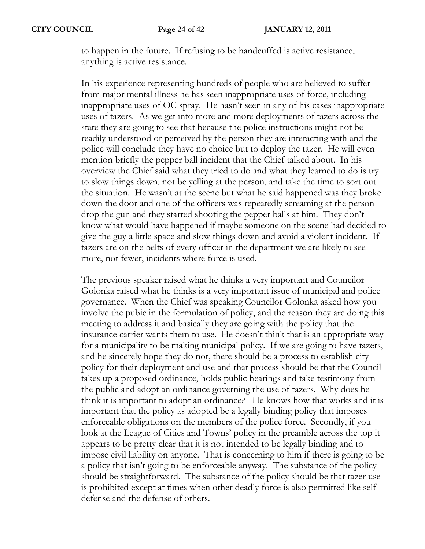to happen in the future. If refusing to be handcuffed is active resistance, anything is active resistance.

In his experience representing hundreds of people who are believed to suffer from major mental illness he has seen inappropriate uses of force, including inappropriate uses of OC spray. He hasn't seen in any of his cases inappropriate uses of tazers. As we get into more and more deployments of tazers across the state they are going to see that because the police instructions might not be readily understood or perceived by the person they are interacting with and the police will conclude they have no choice but to deploy the tazer. He will even mention briefly the pepper ball incident that the Chief talked about. In his overview the Chief said what they tried to do and what they learned to do is try to slow things down, not be yelling at the person, and take the time to sort out the situation. He wasn't at the scene but what he said happened was they broke down the door and one of the officers was repeatedly screaming at the person drop the gun and they started shooting the pepper balls at him. They don't know what would have happened if maybe someone on the scene had decided to give the guy a little space and slow things down and avoid a violent incident. If tazers are on the belts of every officer in the department we are likely to see more, not fewer, incidents where force is used.

The previous speaker raised what he thinks a very important and Councilor Golonka raised what he thinks is a very important issue of municipal and police governance. When the Chief was speaking Councilor Golonka asked how you involve the pubic in the formulation of policy, and the reason they are doing this meeting to address it and basically they are going with the policy that the insurance carrier wants them to use. He doesn't think that is an appropriate way for a municipality to be making municipal policy. If we are going to have tazers, and he sincerely hope they do not, there should be a process to establish city policy for their deployment and use and that process should be that the Council takes up a proposed ordinance, holds public hearings and take testimony from the public and adopt an ordinance governing the use of tazers. Why does he think it is important to adopt an ordinance? He knows how that works and it is important that the policy as adopted be a legally binding policy that imposes enforceable obligations on the members of the police force. Secondly, if you look at the League of Cities and Towns' policy in the preamble across the top it appears to be pretty clear that it is not intended to be legally binding and to impose civil liability on anyone. That is concerning to him if there is going to be a policy that isn't going to be enforceable anyway. The substance of the policy should be straightforward. The substance of the policy should be that tazer use is prohibited except at times when other deadly force is also permitted like self defense and the defense of others.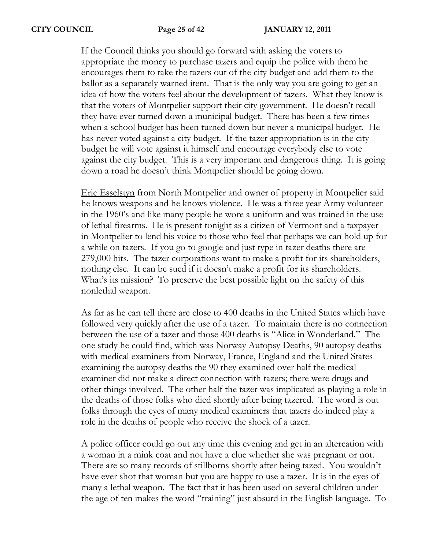If the Council thinks you should go forward with asking the voters to appropriate the money to purchase tazers and equip the police with them he encourages them to take the tazers out of the city budget and add them to the ballot as a separately warned item. That is the only way you are going to get an idea of how the voters feel about the development of tazers. What they know is that the voters of Montpelier support their city government. He doesn't recall they have ever turned down a municipal budget. There has been a few times when a school budget has been turned down but never a municipal budget. He has never voted against a city budget. If the tazer appropriation is in the city budget he will vote against it himself and encourage everybody else to vote against the city budget. This is a very important and dangerous thing. It is going down a road he doesn't think Montpelier should be going down.

Eric Esselstyn from North Montpelier and owner of property in Montpelier said he knows weapons and he knows violence. He was a three year Army volunteer in the 1960's and like many people he wore a uniform and was trained in the use of lethal firearms. He is present tonight as a citizen of Vermont and a taxpayer in Montpelier to lend his voice to those who feel that perhaps we can hold up for a while on tazers. If you go to google and just type in tazer deaths there are 279,000 hits. The tazer corporations want to make a profit for its shareholders, nothing else. It can be sued if it doesn't make a profit for its shareholders. What's its mission? To preserve the best possible light on the safety of this nonlethal weapon.

As far as he can tell there are close to 400 deaths in the United States which have followed very quickly after the use of a tazer. To maintain there is no connection between the use of a tazer and those 400 deaths is "Alice in Wonderland." The one study he could find, which was Norway Autopsy Deaths, 90 autopsy deaths with medical examiners from Norway, France, England and the United States examining the autopsy deaths the 90 they examined over half the medical examiner did not make a direct connection with tazers; there were drugs and other things involved. The other half the tazer was implicated as playing a role in the deaths of those folks who died shortly after being tazered. The word is out folks through the eyes of many medical examiners that tazers do indeed play a role in the deaths of people who receive the shock of a tazer.

A police officer could go out any time this evening and get in an altercation with a woman in a mink coat and not have a clue whether she was pregnant or not. There are so many records of stillborns shortly after being tazed. You wouldn't have ever shot that woman but you are happy to use a tazer. It is in the eyes of many a lethal weapon. The fact that it has been used on several children under the age of ten makes the word "training" just absurd in the English language. To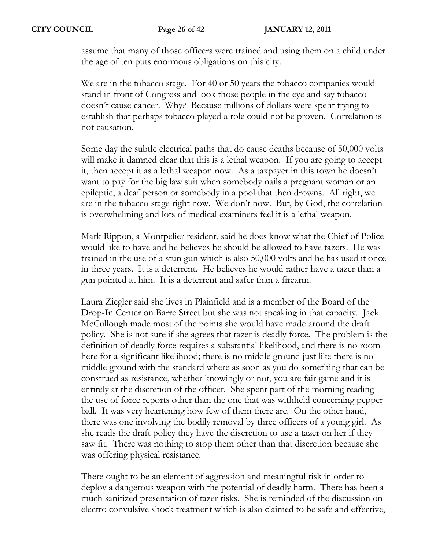assume that many of those officers were trained and using them on a child under the age of ten puts enormous obligations on this city.

We are in the tobacco stage. For 40 or 50 years the tobacco companies would stand in front of Congress and look those people in the eye and say tobacco doesn't cause cancer. Why? Because millions of dollars were spent trying to establish that perhaps tobacco played a role could not be proven. Correlation is not causation.

Some day the subtle electrical paths that do cause deaths because of 50,000 volts will make it damned clear that this is a lethal weapon. If you are going to accept it, then accept it as a lethal weapon now. As a taxpayer in this town he doesn't want to pay for the big law suit when somebody nails a pregnant woman or an epileptic, a deaf person or somebody in a pool that then drowns. All right, we are in the tobacco stage right now. We don't now. But, by God, the correlation is overwhelming and lots of medical examiners feel it is a lethal weapon.

Mark Rippon, a Montpelier resident, said he does know what the Chief of Police would like to have and he believes he should be allowed to have tazers. He was trained in the use of a stun gun which is also 50,000 volts and he has used it once in three years. It is a deterrent. He believes he would rather have a tazer than a gun pointed at him. It is a deterrent and safer than a firearm.

Laura Ziegler said she lives in Plainfield and is a member of the Board of the Drop-In Center on Barre Street but she was not speaking in that capacity. Jack McCullough made most of the points she would have made around the draft policy. She is not sure if she agrees that tazer is deadly force. The problem is the definition of deadly force requires a substantial likelihood, and there is no room here for a significant likelihood; there is no middle ground just like there is no middle ground with the standard where as soon as you do something that can be construed as resistance, whether knowingly or not, you are fair game and it is entirely at the discretion of the officer. She spent part of the morning reading the use of force reports other than the one that was withheld concerning pepper ball. It was very heartening how few of them there are. On the other hand, there was one involving the bodily removal by three officers of a young girl. As she reads the draft policy they have the discretion to use a tazer on her if they saw fit. There was nothing to stop them other than that discretion because she was offering physical resistance.

There ought to be an element of aggression and meaningful risk in order to deploy a dangerous weapon with the potential of deadly harm. There has been a much sanitized presentation of tazer risks. She is reminded of the discussion on electro convulsive shock treatment which is also claimed to be safe and effective,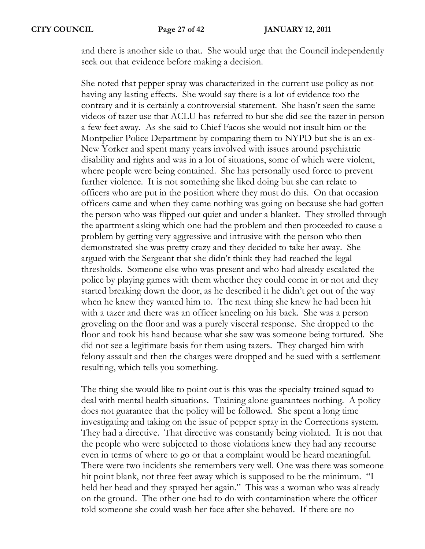and there is another side to that. She would urge that the Council independently seek out that evidence before making a decision.

She noted that pepper spray was characterized in the current use policy as not having any lasting effects. She would say there is a lot of evidence too the contrary and it is certainly a controversial statement. She hasn't seen the same videos of tazer use that ACLU has referred to but she did see the tazer in person a few feet away. As she said to Chief Facos she would not insult him or the Montpelier Police Department by comparing them to NYPD but she is an ex-New Yorker and spent many years involved with issues around psychiatric disability and rights and was in a lot of situations, some of which were violent, where people were being contained. She has personally used force to prevent further violence. It is not something she liked doing but she can relate to officers who are put in the position where they must do this. On that occasion officers came and when they came nothing was going on because she had gotten the person who was flipped out quiet and under a blanket. They strolled through the apartment asking which one had the problem and then proceeded to cause a problem by getting very aggressive and intrusive with the person who then demonstrated she was pretty crazy and they decided to take her away. She argued with the Sergeant that she didn't think they had reached the legal thresholds. Someone else who was present and who had already escalated the police by playing games with them whether they could come in or not and they started breaking down the door, as he described it he didn't get out of the way when he knew they wanted him to. The next thing she knew he had been hit with a tazer and there was an officer kneeling on his back. She was a person groveling on the floor and was a purely visceral response. She dropped to the floor and took his hand because what she saw was someone being tortured. She did not see a legitimate basis for them using tazers. They charged him with felony assault and then the charges were dropped and he sued with a settlement resulting, which tells you something.

The thing she would like to point out is this was the specialty trained squad to deal with mental health situations. Training alone guarantees nothing. A policy does not guarantee that the policy will be followed. She spent a long time investigating and taking on the issue of pepper spray in the Corrections system. They had a directive. That directive was constantly being violated. It is not that the people who were subjected to those violations knew they had any recourse even in terms of where to go or that a complaint would be heard meaningful. There were two incidents she remembers very well. One was there was someone hit point blank, not three feet away which is supposed to be the minimum. "I held her head and they sprayed her again." This was a woman who was already on the ground. The other one had to do with contamination where the officer told someone she could wash her face after she behaved. If there are no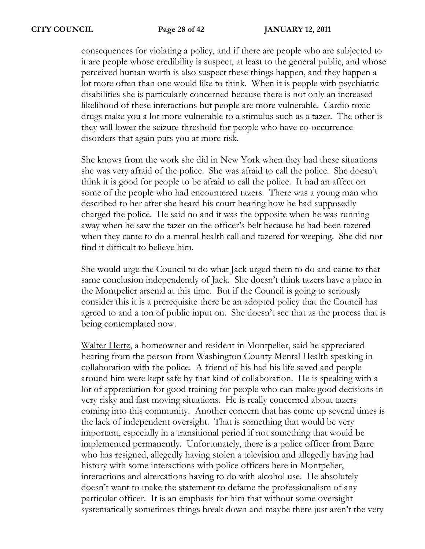consequences for violating a policy, and if there are people who are subjected to it are people whose credibility is suspect, at least to the general public, and whose perceived human worth is also suspect these things happen, and they happen a lot more often than one would like to think. When it is people with psychiatric disabilities she is particularly concerned because there is not only an increased likelihood of these interactions but people are more vulnerable. Cardio toxic drugs make you a lot more vulnerable to a stimulus such as a tazer. The other is they will lower the seizure threshold for people who have co-occurrence disorders that again puts you at more risk.

She knows from the work she did in New York when they had these situations she was very afraid of the police. She was afraid to call the police. She doesn't think it is good for people to be afraid to call the police. It had an affect on some of the people who had encountered tazers. There was a young man who described to her after she heard his court hearing how he had supposedly charged the police. He said no and it was the opposite when he was running away when he saw the tazer on the officer's belt because he had been tazered when they came to do a mental health call and tazered for weeping. She did not find it difficult to believe him.

She would urge the Council to do what Jack urged them to do and came to that same conclusion independently of Jack. She doesn't think tazers have a place in the Montpelier arsenal at this time. But if the Council is going to seriously consider this it is a prerequisite there be an adopted policy that the Council has agreed to and a ton of public input on. She doesn't see that as the process that is being contemplated now.

Walter Hertz, a homeowner and resident in Montpelier, said he appreciated hearing from the person from Washington County Mental Health speaking in collaboration with the police. A friend of his had his life saved and people around him were kept safe by that kind of collaboration. He is speaking with a lot of appreciation for good training for people who can make good decisions in very risky and fast moving situations. He is really concerned about tazers coming into this community. Another concern that has come up several times is the lack of independent oversight. That is something that would be very important, especially in a transitional period if not something that would be implemented permanently. Unfortunately, there is a police officer from Barre who has resigned, allegedly having stolen a television and allegedly having had history with some interactions with police officers here in Montpelier, interactions and altercations having to do with alcohol use. He absolutely doesn't want to make the statement to defame the professionalism of any particular officer. It is an emphasis for him that without some oversight systematically sometimes things break down and maybe there just aren't the very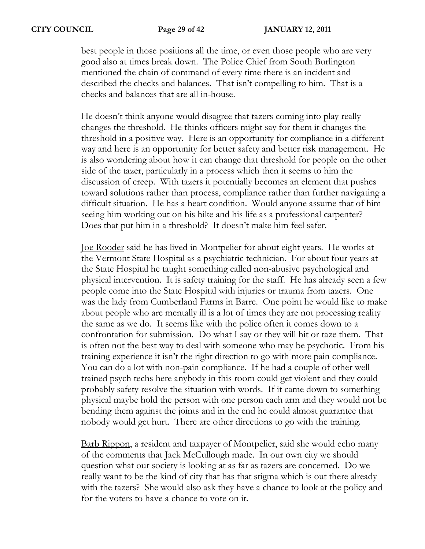best people in those positions all the time, or even those people who are very good also at times break down. The Police Chief from South Burlington mentioned the chain of command of every time there is an incident and described the checks and balances. That isn't compelling to him. That is a checks and balances that are all in-house.

He doesn't think anyone would disagree that tazers coming into play really changes the threshold. He thinks officers might say for them it changes the threshold in a positive way. Here is an opportunity for compliance in a different way and here is an opportunity for better safety and better risk management. He is also wondering about how it can change that threshold for people on the other side of the tazer, particularly in a process which then it seems to him the discussion of creep. With tazers it potentially becomes an element that pushes toward solutions rather than process, compliance rather than further navigating a difficult situation. He has a heart condition. Would anyone assume that of him seeing him working out on his bike and his life as a professional carpenter? Does that put him in a threshold? It doesn't make him feel safer.

Joe Rooder said he has lived in Montpelier for about eight years. He works at the Vermont State Hospital as a psychiatric technician. For about four years at the State Hospital he taught something called non-abusive psychological and physical intervention. It is safety training for the staff. He has already seen a few people come into the State Hospital with injuries or trauma from tazers. One was the lady from Cumberland Farms in Barre. One point he would like to make about people who are mentally ill is a lot of times they are not processing reality the same as we do. It seems like with the police often it comes down to a confrontation for submission. Do what I say or they will hit or taze them. That is often not the best way to deal with someone who may be psychotic. From his training experience it isn't the right direction to go with more pain compliance. You can do a lot with non-pain compliance. If he had a couple of other well trained psych techs here anybody in this room could get violent and they could probably safety resolve the situation with words. If it came down to something physical maybe hold the person with one person each arm and they would not be bending them against the joints and in the end he could almost guarantee that nobody would get hurt. There are other directions to go with the training.

Barb Rippon, a resident and taxpayer of Montpelier, said she would echo many of the comments that Jack McCullough made. In our own city we should question what our society is looking at as far as tazers are concerned. Do we really want to be the kind of city that has that stigma which is out there already with the tazers? She would also ask they have a chance to look at the policy and for the voters to have a chance to vote on it.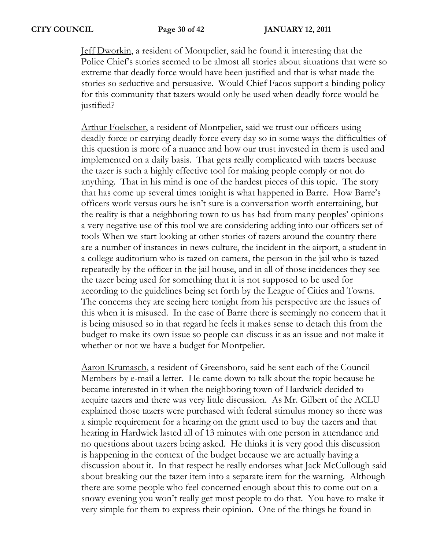Jeff Dworkin, a resident of Montpelier, said he found it interesting that the Police Chief's stories seemed to be almost all stories about situations that were so extreme that deadly force would have been justified and that is what made the stories so seductive and persuasive. Would Chief Facos support a binding policy for this community that tazers would only be used when deadly force would be justified?

Arthur Foelscher, a resident of Montpelier, said we trust our officers using deadly force or carrying deadly force every day so in some ways the difficulties of this question is more of a nuance and how our trust invested in them is used and implemented on a daily basis. That gets really complicated with tazers because the tazer is such a highly effective tool for making people comply or not do anything. That in his mind is one of the hardest pieces of this topic. The story that has come up several times tonight is what happened in Barre. How Barre's officers work versus ours he isn't sure is a conversation worth entertaining, but the reality is that a neighboring town to us has had from many peoples' opinions a very negative use of this tool we are considering adding into our officers set of tools When we start looking at other stories of tazers around the country there are a number of instances in news culture, the incident in the airport, a student in a college auditorium who is tazed on camera, the person in the jail who is tazed repeatedly by the officer in the jail house, and in all of those incidences they see the tazer being used for something that it is not supposed to be used for according to the guidelines being set forth by the League of Cities and Towns. The concerns they are seeing here tonight from his perspective are the issues of this when it is misused. In the case of Barre there is seemingly no concern that it is being misused so in that regard he feels it makes sense to detach this from the budget to make its own issue so people can discuss it as an issue and not make it whether or not we have a budget for Montpelier.

Aaron Krumasch, a resident of Greensboro, said he sent each of the Council Members by e-mail a letter. He came down to talk about the topic because he became interested in it when the neighboring town of Hardwick decided to acquire tazers and there was very little discussion. As Mr. Gilbert of the ACLU explained those tazers were purchased with federal stimulus money so there was a simple requirement for a hearing on the grant used to buy the tazers and that hearing in Hardwick lasted all of 13 minutes with one person in attendance and no questions about tazers being asked. He thinks it is very good this discussion is happening in the context of the budget because we are actually having a discussion about it. In that respect he really endorses what Jack McCullough said about breaking out the tazer item into a separate item for the warning. Although there are some people who feel concerned enough about this to come out on a snowy evening you won't really get most people to do that. You have to make it very simple for them to express their opinion. One of the things he found in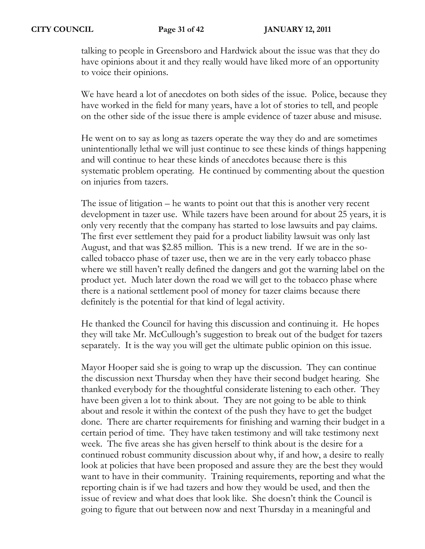talking to people in Greensboro and Hardwick about the issue was that they do have opinions about it and they really would have liked more of an opportunity to voice their opinions.

We have heard a lot of anecdotes on both sides of the issue. Police, because they have worked in the field for many years, have a lot of stories to tell, and people on the other side of the issue there is ample evidence of tazer abuse and misuse.

He went on to say as long as tazers operate the way they do and are sometimes unintentionally lethal we will just continue to see these kinds of things happening and will continue to hear these kinds of anecdotes because there is this systematic problem operating. He continued by commenting about the question on injuries from tazers.

The issue of litigation – he wants to point out that this is another very recent development in tazer use. While tazers have been around for about 25 years, it is only very recently that the company has started to lose lawsuits and pay claims. The first ever settlement they paid for a product liability lawsuit was only last August, and that was \$2.85 million. This is a new trend. If we are in the socalled tobacco phase of tazer use, then we are in the very early tobacco phase where we still haven't really defined the dangers and got the warning label on the product yet. Much later down the road we will get to the tobacco phase where there is a national settlement pool of money for tazer claims because there definitely is the potential for that kind of legal activity.

He thanked the Council for having this discussion and continuing it. He hopes they will take Mr. McCullough's suggestion to break out of the budget for tazers separately. It is the way you will get the ultimate public opinion on this issue.

Mayor Hooper said she is going to wrap up the discussion. They can continue the discussion next Thursday when they have their second budget hearing. She thanked everybody for the thoughtful considerate listening to each other. They have been given a lot to think about. They are not going to be able to think about and resole it within the context of the push they have to get the budget done. There are charter requirements for finishing and warning their budget in a certain period of time. They have taken testimony and will take testimony next week. The five areas she has given herself to think about is the desire for a continued robust community discussion about why, if and how, a desire to really look at policies that have been proposed and assure they are the best they would want to have in their community. Training requirements, reporting and what the reporting chain is if we had tazers and how they would be used, and then the issue of review and what does that look like. She doesn't think the Council is going to figure that out between now and next Thursday in a meaningful and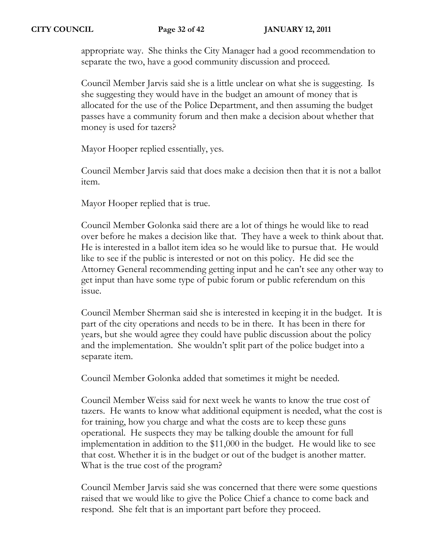appropriate way. She thinks the City Manager had a good recommendation to separate the two, have a good community discussion and proceed.

Council Member Jarvis said she is a little unclear on what she is suggesting. Is she suggesting they would have in the budget an amount of money that is allocated for the use of the Police Department, and then assuming the budget passes have a community forum and then make a decision about whether that money is used for tazers?

Mayor Hooper replied essentially, yes.

Council Member Jarvis said that does make a decision then that it is not a ballot item.

Mayor Hooper replied that is true.

Council Member Golonka said there are a lot of things he would like to read over before he makes a decision like that. They have a week to think about that. He is interested in a ballot item idea so he would like to pursue that. He would like to see if the public is interested or not on this policy. He did see the Attorney General recommending getting input and he can't see any other way to get input than have some type of pubic forum or public referendum on this issue.

Council Member Sherman said she is interested in keeping it in the budget. It is part of the city operations and needs to be in there. It has been in there for years, but she would agree they could have public discussion about the policy and the implementation. She wouldn't split part of the police budget into a separate item.

Council Member Golonka added that sometimes it might be needed.

Council Member Weiss said for next week he wants to know the true cost of tazers. He wants to know what additional equipment is needed, what the cost is for training, how you charge and what the costs are to keep these guns operational. He suspects they may be talking double the amount for full implementation in addition to the \$11,000 in the budget. He would like to see that cost. Whether it is in the budget or out of the budget is another matter. What is the true cost of the program?

Council Member Jarvis said she was concerned that there were some questions raised that we would like to give the Police Chief a chance to come back and respond. She felt that is an important part before they proceed.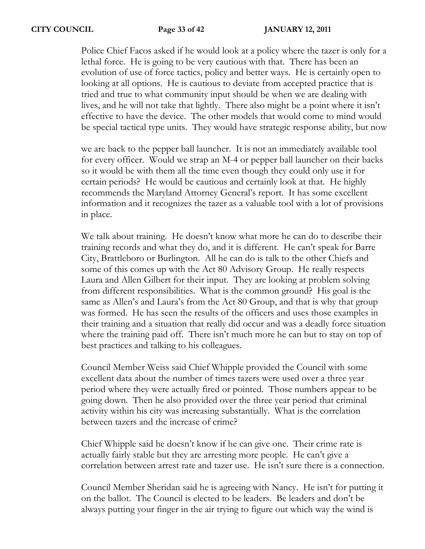Police Chief Facos asked if he would look at a policy where the tazer is only for a lethal force. He is going to be very cautious with that. There has been an evolution of use of force tactics, policy and better ways. He is certainly open to looking at all options. He is cautious to deviate from accepted practice that is tried and true to what community input should be when we are dealing with lives, and he will not take that lightly. There also might be a point where it isn't effective to have the device. The other models that would come to mind would be special tactical type units. They would have strategic response ability, but now

we are back to the pepper ball launcher. It is not an immediately available tool for every officer. Would we strap an M-4 or pepper ball launcher on their backs so it would be with them all the time even though they could only use it for certain periods? He would be cautious and certainly look at that. He highly recommends the Maryland Attorney General's report. It has some excellent information and it recognizes the tazer as a valuable tool with a lot of provisions in place.

We talk about training. He doesn't know what more he can do to describe their training records and what they do, and it is different. He can't speak for Barre City, Brattleboro or Burlington. All he can do is talk to the other Chiefs and some of this comes up with the Act 80 Advisory Group. He really respects Laura and Allen Gilbert for their input. They are looking at problem solving from different responsibilities. What is the common ground? His goal is the same as Allen's and Laura's from the Act 80 Group, and that is why that group was formed. He has seen the results of the officers and uses those examples in their training and a situation that really did occur and was a deadly force situation where the training paid off. There isn't much more he can but to stay on top of best practices and talking to his colleagues.

Council Member Weiss said Chief Whipple provided the Council with some excellent data about the number of times tazers were used over a three year period where they were actually fired or pointed. Those numbers appear to be going down. Then he also provided over the three year period that criminal activity within his city was increasing substantially. What is the correlation between tazers and the increase of crime?

Chief Whipple said he doesn't know if he can give one. Their crime rate is actually fairly stable but they are arresting more people. He can't give a correlation between arrest rate and tazer use. He isn't sure there is a connection.

Council Member Sheridan said he is agreeing with Nancy. He isn't for putting it on the ballot. The Council is elected to be leaders. Be leaders and don't be always putting your finger in the air trying to figure out which way the wind is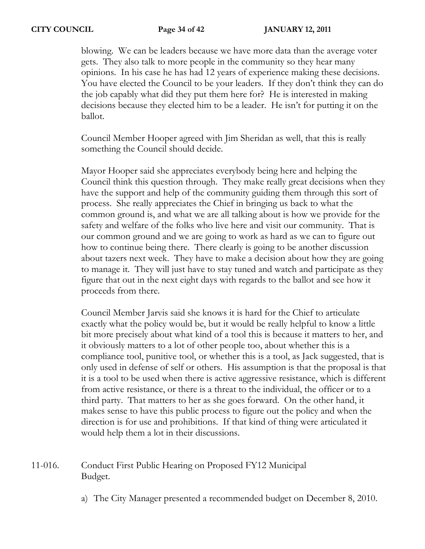blowing. We can be leaders because we have more data than the average voter gets. They also talk to more people in the community so they hear many opinions. In his case he has had 12 years of experience making these decisions. You have elected the Council to be your leaders. If they don't think they can do the job capably what did they put them here for? He is interested in making decisions because they elected him to be a leader. He isn't for putting it on the ballot.

Council Member Hooper agreed with Jim Sheridan as well, that this is really something the Council should decide.

Mayor Hooper said she appreciates everybody being here and helping the Council think this question through. They make really great decisions when they have the support and help of the community guiding them through this sort of process. She really appreciates the Chief in bringing us back to what the common ground is, and what we are all talking about is how we provide for the safety and welfare of the folks who live here and visit our community. That is our common ground and we are going to work as hard as we can to figure out how to continue being there. There clearly is going to be another discussion about tazers next week. They have to make a decision about how they are going to manage it. They will just have to stay tuned and watch and participate as they figure that out in the next eight days with regards to the ballot and see how it proceeds from there.

Council Member Jarvis said she knows it is hard for the Chief to articulate exactly what the policy would be, but it would be really helpful to know a little bit more precisely about what kind of a tool this is because it matters to her, and it obviously matters to a lot of other people too, about whether this is a compliance tool, punitive tool, or whether this is a tool, as Jack suggested, that is only used in defense of self or others. His assumption is that the proposal is that it is a tool to be used when there is active aggressive resistance, which is different from active resistance, or there is a threat to the individual, the officer or to a third party. That matters to her as she goes forward. On the other hand, it makes sense to have this public process to figure out the policy and when the direction is for use and prohibitions. If that kind of thing were articulated it would help them a lot in their discussions.

# 11-016. Conduct First Public Hearing on Proposed FY12 Municipal Budget.

a) The City Manager presented a recommended budget on December 8, 2010.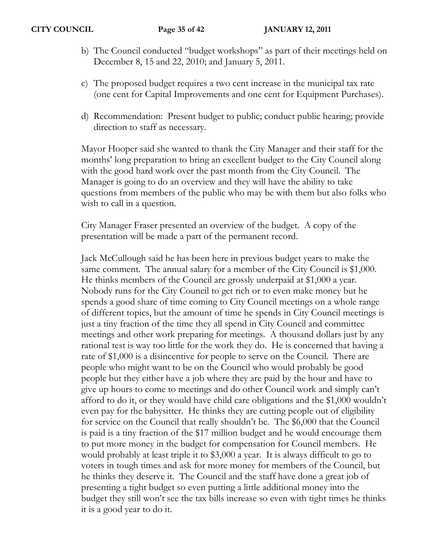- b) The Council conducted "budget workshops" as part of their meetings held on December 8, 15 and 22, 2010; and January 5, 2011.
- c) The proposed budget requires a two cent increase in the municipal tax rate (one cent for Capital Improvements and one cent for Equipment Purchases).
- d) Recommendation: Present budget to public; conduct public hearing; provide direction to staff as necessary.

Mayor Hooper said she wanted to thank the City Manager and their staff for the months' long preparation to bring an excellent budget to the City Council along with the good hard work over the past month from the City Council. The Manager is going to do an overview and they will have the ability to take questions from members of the public who may be with them but also folks who wish to call in a question.

City Manager Fraser presented an overview of the budget. A copy of the presentation will be made a part of the permanent record.

Jack McCullough said he has been here in previous budget years to make the same comment. The annual salary for a member of the City Council is \$1,000. He thinks members of the Council are grossly underpaid at \$1,000 a year. Nobody runs for the City Council to get rich or to even make money but he spends a good share of time coming to City Council meetings on a whole range of different topics, but the amount of time he spends in City Council meetings is just a tiny fraction of the time they all spend in City Council and committee meetings and other work preparing for meetings. A thousand dollars just by any rational test is way too little for the work they do. He is concerned that having a rate of \$1,000 is a disincentive for people to serve on the Council. There are people who might want to be on the Council who would probably be good people but they either have a job where they are paid by the hour and have to give up hours to come to meetings and do other Council work and simply can't afford to do it, or they would have child care obligations and the \$1,000 wouldn't even pay for the babysitter. He thinks they are cutting people out of eligibility for service on the Council that really shouldn't be. The \$6,000 that the Council is paid is a tiny fraction of the \$17 million budget and he would encourage them to put more money in the budget for compensation for Council members. He would probably at least triple it to \$3,000 a year. It is always difficult to go to voters in tough times and ask for more money for members of the Council, but he thinks they deserve it. The Council and the staff have done a great job of presenting a tight budget so even putting a little additional money into the budget they still won't see the tax bills increase so even with tight times he thinks it is a good year to do it.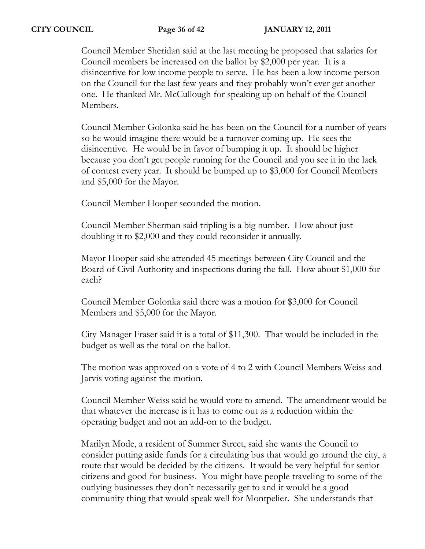Council Member Sheridan said at the last meeting he proposed that salaries for Council members be increased on the ballot by \$2,000 per year. It is a disincentive for low income people to serve. He has been a low income person on the Council for the last few years and they probably won't ever get another one. He thanked Mr. McCullough for speaking up on behalf of the Council Members.

Council Member Golonka said he has been on the Council for a number of years so he would imagine there would be a turnover coming up. He sees the disincentive. He would be in favor of bumping it up. It should be higher because you don't get people running for the Council and you see it in the lack of contest every year. It should be bumped up to \$3,000 for Council Members and \$5,000 for the Mayor.

Council Member Hooper seconded the motion.

Council Member Sherman said tripling is a big number. How about just doubling it to \$2,000 and they could reconsider it annually.

Mayor Hooper said she attended 45 meetings between City Council and the Board of Civil Authority and inspections during the fall. How about \$1,000 for each?

Council Member Golonka said there was a motion for \$3,000 for Council Members and \$5,000 for the Mayor.

City Manager Fraser said it is a total of \$11,300. That would be included in the budget as well as the total on the ballot.

The motion was approved on a vote of 4 to 2 with Council Members Weiss and Jarvis voting against the motion.

Council Member Weiss said he would vote to amend. The amendment would be that whatever the increase is it has to come out as a reduction within the operating budget and not an add-on to the budget.

Marilyn Mode, a resident of Summer Street, said she wants the Council to consider putting aside funds for a circulating bus that would go around the city, a route that would be decided by the citizens. It would be very helpful for senior citizens and good for business. You might have people traveling to some of the outlying businesses they don't necessarily get to and it would be a good community thing that would speak well for Montpelier. She understands that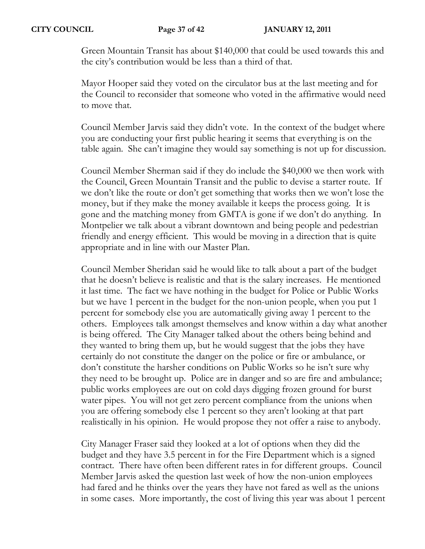Green Mountain Transit has about \$140,000 that could be used towards this and the city's contribution would be less than a third of that.

Mayor Hooper said they voted on the circulator bus at the last meeting and for the Council to reconsider that someone who voted in the affirmative would need to move that.

Council Member Jarvis said they didn't vote. In the context of the budget where you are conducting your first public hearing it seems that everything is on the table again. She can't imagine they would say something is not up for discussion.

Council Member Sherman said if they do include the \$40,000 we then work with the Council, Green Mountain Transit and the public to devise a starter route. If we don't like the route or don't get something that works then we won't lose the money, but if they make the money available it keeps the process going. It is gone and the matching money from GMTA is gone if we don't do anything. In Montpelier we talk about a vibrant downtown and being people and pedestrian friendly and energy efficient. This would be moving in a direction that is quite appropriate and in line with our Master Plan.

Council Member Sheridan said he would like to talk about a part of the budget that he doesn't believe is realistic and that is the salary increases. He mentioned it last time. The fact we have nothing in the budget for Police or Public Works but we have 1 percent in the budget for the non-union people, when you put 1 percent for somebody else you are automatically giving away 1 percent to the others. Employees talk amongst themselves and know within a day what another is being offered. The City Manager talked about the others being behind and they wanted to bring them up, but he would suggest that the jobs they have certainly do not constitute the danger on the police or fire or ambulance, or don't constitute the harsher conditions on Public Works so he isn't sure why they need to be brought up. Police are in danger and so are fire and ambulance; public works employees are out on cold days digging frozen ground for burst water pipes. You will not get zero percent compliance from the unions when you are offering somebody else 1 percent so they aren't looking at that part realistically in his opinion. He would propose they not offer a raise to anybody.

City Manager Fraser said they looked at a lot of options when they did the budget and they have 3.5 percent in for the Fire Department which is a signed contract. There have often been different rates in for different groups. Council Member Jarvis asked the question last week of how the non-union employees had fared and he thinks over the years they have not fared as well as the unions in some cases. More importantly, the cost of living this year was about 1 percent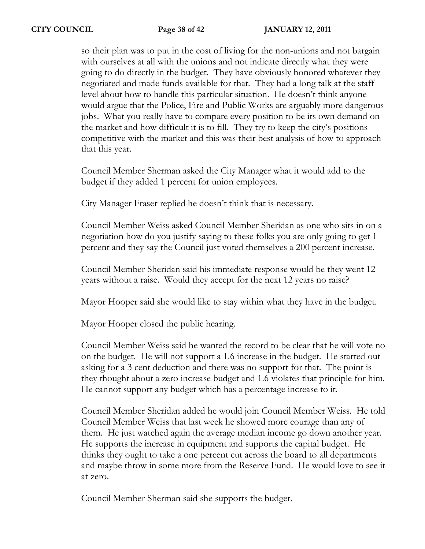so their plan was to put in the cost of living for the non-unions and not bargain with ourselves at all with the unions and not indicate directly what they were going to do directly in the budget. They have obviously honored whatever they negotiated and made funds available for that. They had a long talk at the staff level about how to handle this particular situation. He doesn't think anyone would argue that the Police, Fire and Public Works are arguably more dangerous jobs. What you really have to compare every position to be its own demand on the market and how difficult it is to fill. They try to keep the city's positions competitive with the market and this was their best analysis of how to approach that this year.

Council Member Sherman asked the City Manager what it would add to the budget if they added 1 percent for union employees.

City Manager Fraser replied he doesn't think that is necessary.

Council Member Weiss asked Council Member Sheridan as one who sits in on a negotiation how do you justify saying to these folks you are only going to get 1 percent and they say the Council just voted themselves a 200 percent increase.

Council Member Sheridan said his immediate response would be they went 12 years without a raise. Would they accept for the next 12 years no raise?

Mayor Hooper said she would like to stay within what they have in the budget.

Mayor Hooper closed the public hearing.

Council Member Weiss said he wanted the record to be clear that he will vote no on the budget. He will not support a 1.6 increase in the budget. He started out asking for a 3 cent deduction and there was no support for that. The point is they thought about a zero increase budget and 1.6 violates that principle for him. He cannot support any budget which has a percentage increase to it.

Council Member Sheridan added he would join Council Member Weiss. He told Council Member Weiss that last week he showed more courage than any of them. He just watched again the average median income go down another year. He supports the increase in equipment and supports the capital budget. He thinks they ought to take a one percent cut across the board to all departments and maybe throw in some more from the Reserve Fund. He would love to see it at zero.

Council Member Sherman said she supports the budget.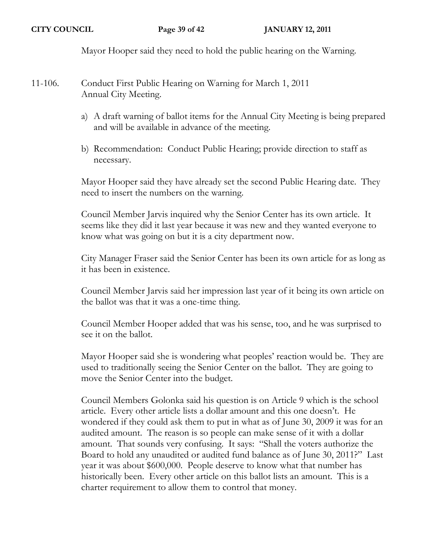Mayor Hooper said they need to hold the public hearing on the Warning.

- 11-106. Conduct First Public Hearing on Warning for March 1, 2011 Annual City Meeting.
	- a) A draft warning of ballot items for the Annual City Meeting is being prepared and will be available in advance of the meeting.
	- b) Recommendation: Conduct Public Hearing; provide direction to staff as necessary.

Mayor Hooper said they have already set the second Public Hearing date. They need to insert the numbers on the warning.

Council Member Jarvis inquired why the Senior Center has its own article. It seems like they did it last year because it was new and they wanted everyone to know what was going on but it is a city department now.

City Manager Fraser said the Senior Center has been its own article for as long as it has been in existence.

Council Member Jarvis said her impression last year of it being its own article on the ballot was that it was a one-time thing.

Council Member Hooper added that was his sense, too, and he was surprised to see it on the ballot.

Mayor Hooper said she is wondering what peoples' reaction would be. They are used to traditionally seeing the Senior Center on the ballot. They are going to move the Senior Center into the budget.

Council Members Golonka said his question is on Article 9 which is the school article. Every other article lists a dollar amount and this one doesn't. He wondered if they could ask them to put in what as of June 30, 2009 it was for an audited amount. The reason is so people can make sense of it with a dollar amount. That sounds very confusing. It says: "Shall the voters authorize the Board to hold any unaudited or audited fund balance as of June 30, 2011?" Last year it was about \$600,000. People deserve to know what that number has historically been. Every other article on this ballot lists an amount. This is a charter requirement to allow them to control that money.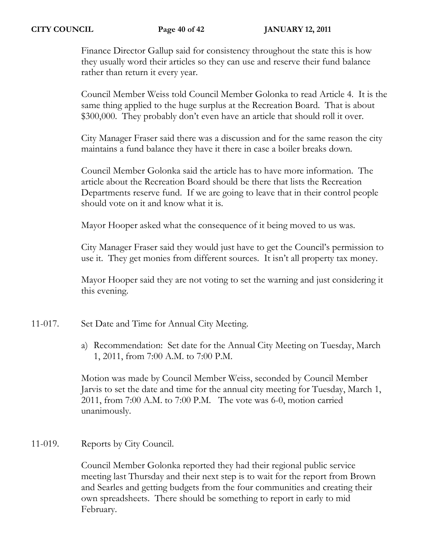Finance Director Gallup said for consistency throughout the state this is how they usually word their articles so they can use and reserve their fund balance rather than return it every year.

Council Member Weiss told Council Member Golonka to read Article 4. It is the same thing applied to the huge surplus at the Recreation Board. That is about \$300,000. They probably don't even have an article that should roll it over.

City Manager Fraser said there was a discussion and for the same reason the city maintains a fund balance they have it there in case a boiler breaks down.

Council Member Golonka said the article has to have more information. The article about the Recreation Board should be there that lists the Recreation Departments reserve fund. If we are going to leave that in their control people should vote on it and know what it is.

Mayor Hooper asked what the consequence of it being moved to us was.

City Manager Fraser said they would just have to get the Council's permission to use it. They get monies from different sources. It isn't all property tax money.

Mayor Hooper said they are not voting to set the warning and just considering it this evening.

- 11-017. Set Date and Time for Annual City Meeting.
	- a) Recommendation: Set date for the Annual City Meeting on Tuesday, March 1, 2011, from 7:00 A.M. to 7:00 P.M.

Motion was made by Council Member Weiss, seconded by Council Member Jarvis to set the date and time for the annual city meeting for Tuesday, March 1, 2011, from 7:00 A.M. to 7:00 P.M. The vote was 6-0, motion carried unanimously.

# 11-019. Reports by City Council.

Council Member Golonka reported they had their regional public service meeting last Thursday and their next step is to wait for the report from Brown and Searles and getting budgets from the four communities and creating their own spreadsheets. There should be something to report in early to mid February.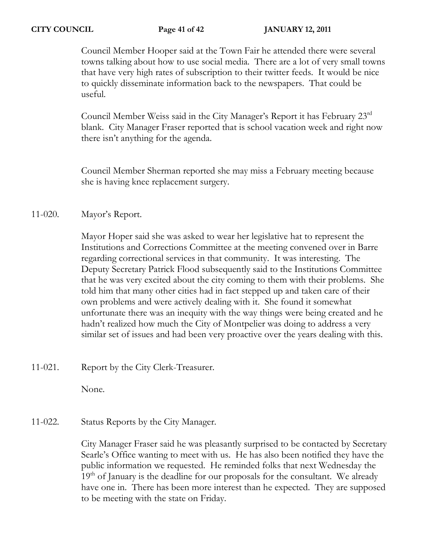Council Member Hooper said at the Town Fair he attended there were several towns talking about how to use social media. There are a lot of very small towns that have very high rates of subscription to their twitter feeds. It would be nice to quickly disseminate information back to the newspapers. That could be useful.

Council Member Weiss said in the City Manager's Report it has February 23rd blank. City Manager Fraser reported that is school vacation week and right now there isn't anything for the agenda.

Council Member Sherman reported she may miss a February meeting because she is having knee replacement surgery.

## 11-020. Mayor's Report.

Mayor Hoper said she was asked to wear her legislative hat to represent the Institutions and Corrections Committee at the meeting convened over in Barre regarding correctional services in that community. It was interesting. The Deputy Secretary Patrick Flood subsequently said to the Institutions Committee that he was very excited about the city coming to them with their problems. She told him that many other cities had in fact stepped up and taken care of their own problems and were actively dealing with it. She found it somewhat unfortunate there was an inequity with the way things were being created and he hadn't realized how much the City of Montpelier was doing to address a very similar set of issues and had been very proactive over the years dealing with this.

11-021. Report by the City Clerk-Treasurer.

None.

## 11-022. Status Reports by the City Manager.

City Manager Fraser said he was pleasantly surprised to be contacted by Secretary Searle's Office wanting to meet with us. He has also been notified they have the public information we requested. He reminded folks that next Wednesday the  $19<sup>th</sup>$  of January is the deadline for our proposals for the consultant. We already have one in. There has been more interest than he expected. They are supposed to be meeting with the state on Friday.